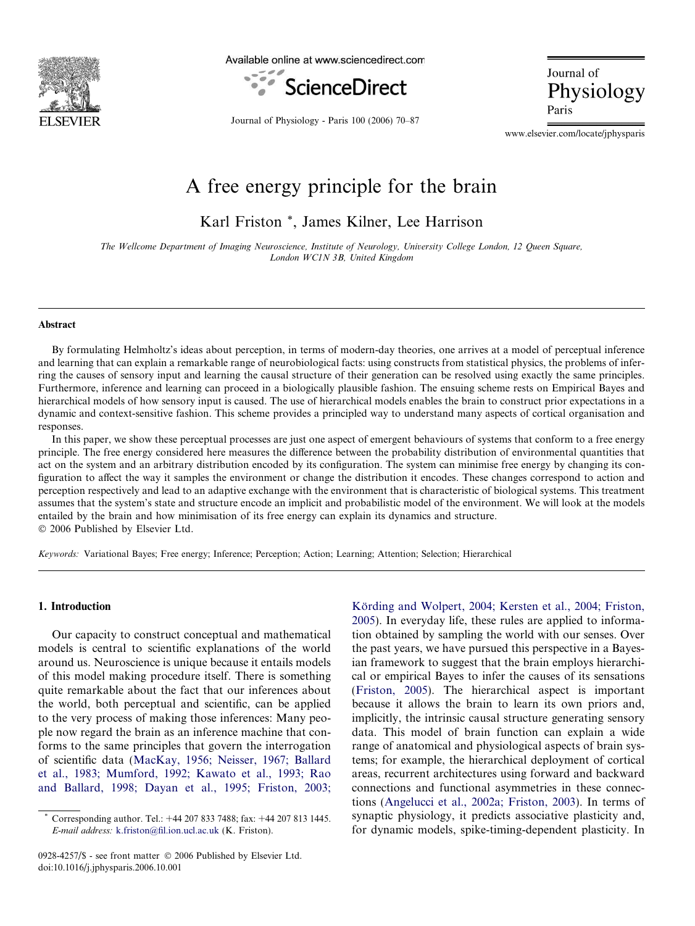

Available online at www.sciencedirect.com



Journal of Physiology

Journal of Physiology - Paris 100 (2006) 70–87

www.elsevier.com/locate/jphysparis

# A free energy principle for the brain

Karl Friston \*, James Kilner, Lee Harrison

*The Wellcome Department of Imaging Neuroscience, Institute of Neurology, University College London, 12 Queen Square, London WC1N 3B, United Kingdom*

#### Abstract

By formulating Helmholtz's ideas about perception, in terms of modern-day theories, one arrives at a model of perceptual inference and learning that can explain a remarkable range of neurobiological facts: using constructs from statistical physics, the problems of inferring the causes of sensory input and learning the causal structure of their generation can be resolved using exactly the same principles. Furthermore, inference and learning can proceed in a biologically plausible fashion. The ensuing scheme rests on Empirical Bayes and hierarchical models of how sensory input is caused. The use of hierarchical models enables the brain to construct prior expectations in a dynamic and context-sensitive fashion. This scheme provides a principled way to understand many aspects of cortical organisation and responses.

In this paper, we show these perceptual processes are just one aspect of emergent behaviours of systems that conform to a free energy principle. The free energy considered here measures the difference between the probability distribution of environmental quantities that act on the system and an arbitrary distribution encoded by its configuration. The system can minimise free energy by changing its configuration to affect the way it samples the environment or change the distribution it encodes. These changes correspond to action and perception respectively and lead to an adaptive exchange with the environment that is characteristic of biological systems. This treatment assumes that the system's state and structure encode an implicit and probabilistic model of the environment. We will look at the models entailed by the brain and how minimisation of its free energy can explain its dynamics and structure.  $© 2006$  Published by Elsevier Ltd.

*Keywords:* Variational Bayes; Free energy; Inference; Perception; Action; Learning; Attention; Selection; Hierarchical

#### 1. Introduction

Our capacity to construct conceptual and mathematical models is central to scientific explanations of the world around us. Neuroscience is unique because it entails models of this model making procedure itself. There is something quite remarkable about the fact that our inferences about the world, both perceptual and scientific, can be applied to the very process of making those inferences: Many people now regard the brain as an inference machine that conforms to the same principles that govern the interrogation of scientific data (MacKay, 1956; Neisser, 1967; Ballard et al., 1983; Mumford, 1992; Kawato et al., 1993; Rao and Ballard, 1998; Dayan et al., 1995; Friston, 2003;

Körding and Wolpert, 2004; Kersten et al., 2004; Friston, 2005). In everyday life, these rules are applied to information obtained by sampling the world with our senses. Over the past years, we have pursued this perspective in a Bayesian framework to suggest that the brain employs hierarchical or empirical Bayes to infer the causes of its sensations (Friston, 2005). The hierarchical aspect is important because it allows the brain to learn its own priors and, implicitly, the intrinsic causal structure generating sensory data. This model of brain function can explain a wide range of anatomical and physiological aspects of brain systems; for example, the hierarchical deployment of cortical areas, recurrent architectures using forward and backward connections and functional asymmetries in these connections (Angelucci et al., 2002a; Friston, 2003). In terms of synaptic physiology, it predicts associative plasticity and, for dynamic models, spike-timing-dependent plasticity. In

<sup>\*</sup> Corresponding author. Tel.: +44 207 833 7488; fax: +44 207 813 1445. *E-mail address:* k.friston@fil.ion.ucl.ac.uk (K. Friston).

<sup>0928-4257/\$ -</sup> see front matter © 2006 Published by Elsevier Ltd. doi:10.1016/j.jphysparis.2006.10.001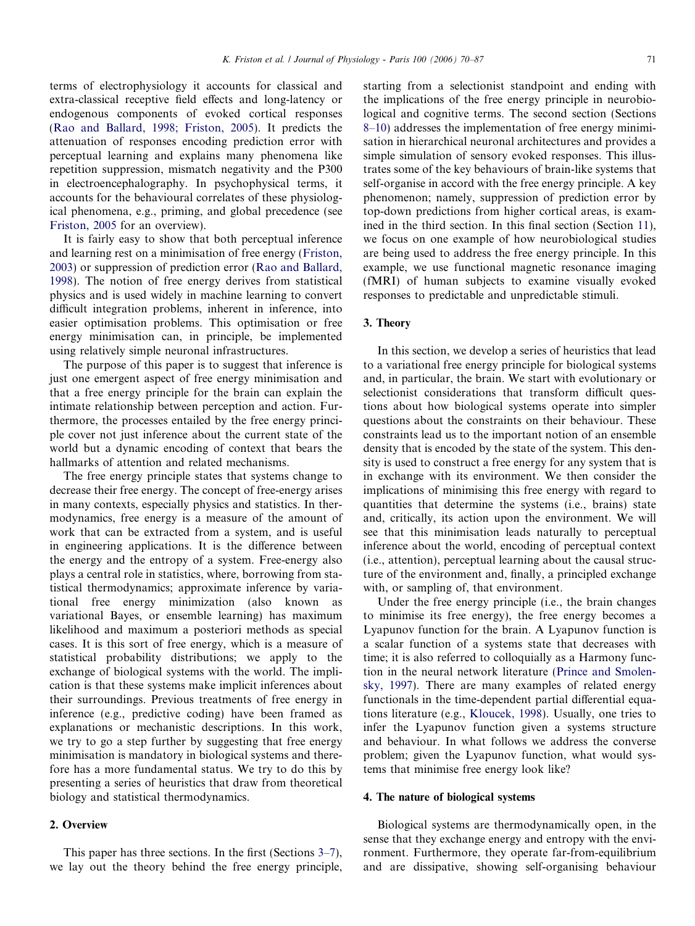terms of electrophysiology it accounts for classical and extra-classical receptive field effects and long-latency or endogenous components of evoked cortical responses (Rao and Ballard, 1998; Friston, 2005). It predicts the attenuation of responses encoding prediction error with perceptual learning and explains many phenomena like repetition suppression, mismatch negativity and the P300 in electroencephalography. In psychophysical terms, it accounts for the behavioural correlates of these physiological phenomena, e.g., priming, and global precedence (see Friston, 2005 for an overview).

It is fairly easy to show that both perceptual inference and learning rest on a minimisation of free energy (Friston, 2003) or suppression of prediction error (Rao and Ballard, 1998). The notion of free energy derives from statistical physics and is used widely in machine learning to convert difficult integration problems, inherent in inference, into easier optimisation problems. This optimisation or free energy minimisation can, in principle, be implemented using relatively simple neuronal infrastructures.

The purpose of this paper is to suggest that inference is just one emergent aspect of free energy minimisation and that a free energy principle for the brain can explain the intimate relationship between perception and action. Furthermore, the processes entailed by the free energy principle cover not just inference about the current state of the world but a dynamic encoding of context that bears the hallmarks of attention and related mechanisms.

The free energy principle states that systems change to decrease their free energy. The concept of free-energy arises in many contexts, especially physics and statistics. In thermodynamics, free energy is a measure of the amount of work that can be extracted from a system, and is useful in engineering applications. It is the difference between the energy and the entropy of a system. Free-energy also plays a central role in statistics, where, borrowing from statistical thermodynamics; approximate inference by variational free energy minimization (also known as variational Bayes, or ensemble learning) has maximum likelihood and maximum a posteriori methods as special cases. It is this sort of free energy, which is a measure of statistical probability distributions; we apply to the exchange of biological systems with the world. The implication is that these systems make implicit inferences about their surroundings. Previous treatments of free energy in inference (e.g., predictive coding) have been framed as explanations or mechanistic descriptions. In this work, we try to go a step further by suggesting that free energy minimisation is mandatory in biological systems and therefore has a more fundamental status. We try to do this by presenting a series of heuristics that draw from theoretical biology and statistical thermodynamics.

## 2. Overview

This paper has three sections. In the first (Sections 3–7), we lay out the theory behind the free energy principle, starting from a selectionist standpoint and ending with the implications of the free energy principle in neurobiological and cognitive terms. The second section (Sections 8–10) addresses the implementation of free energy minimisation in hierarchical neuronal architectures and provides a simple simulation of sensory evoked responses. This illustrates some of the key behaviours of brain-like systems that self-organise in accord with the free energy principle. A key phenomenon; namely, suppression of prediction error by top-down predictions from higher cortical areas, is examined in the third section. In this final section (Section 11), we focus on one example of how neurobiological studies are being used to address the free energy principle. In this example, we use functional magnetic resonance imaging (fMRI) of human subjects to examine visually evoked responses to predictable and unpredictable stimuli.

#### 3. Theory

In this section, we develop a series of heuristics that lead to a variational free energy principle for biological systems and, in particular, the brain. We start with evolutionary or selectionist considerations that transform difficult questions about how biological systems operate into simpler questions about the constraints on their behaviour. These constraints lead us to the important notion of an ensemble density that is encoded by the state of the system. This density is used to construct a free energy for any system that is in exchange with its environment. We then consider the implications of minimising this free energy with regard to quantities that determine the systems (i.e., brains) state and, critically, its action upon the environment. We will see that this minimisation leads naturally to perceptual inference about the world, encoding of perceptual context (i.e., attention), perceptual learning about the causal structure of the environment and, finally, a principled exchange with, or sampling of, that environment.

Under the free energy principle (i.e., the brain changes to minimise its free energy), the free energy becomes a Lyapunov function for the brain. A Lyapunov function is a scalar function of a systems state that decreases with time; it is also referred to colloquially as a Harmony function in the neural network literature (Prince and Smolensky, 1997). There are many examples of related energy functionals in the time-dependent partial differential equations literature (e.g., Kloucek, 1998). Usually, one tries to infer the Lyapunov function given a systems structure and behaviour. In what follows we address the converse problem; given the Lyapunov function, what would systems that minimise free energy look like?

## 4. The nature of biological systems

Biological systems are thermodynamically open, in the sense that they exchange energy and entropy with the environment. Furthermore, they operate far-from-equilibrium and are dissipative, showing self-organising behaviour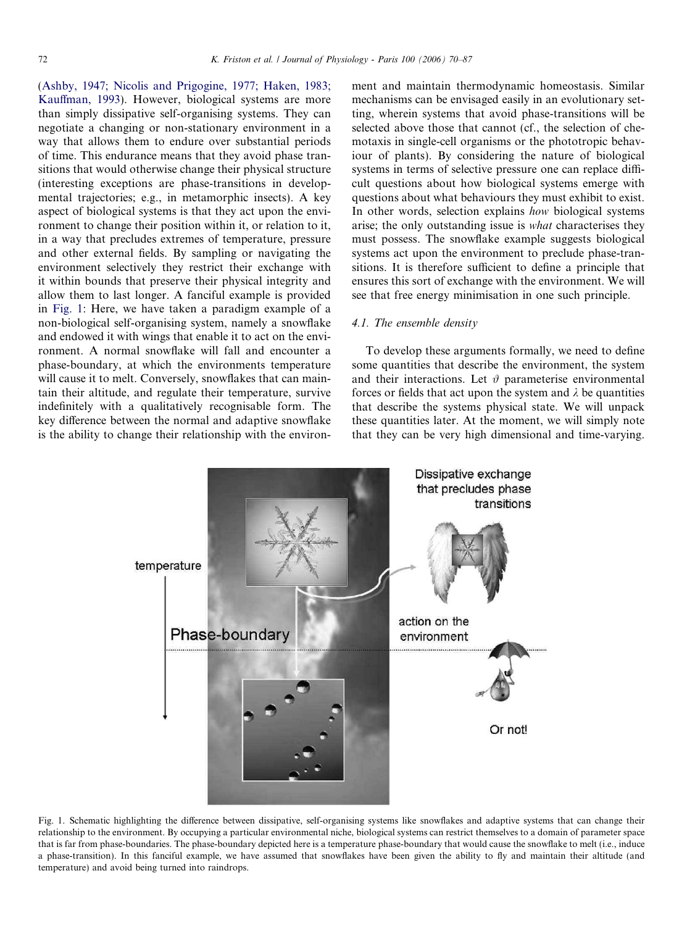(Ashby, 1947; Nicolis and Prigogine, 1977; Haken, 1983; Kauffman, 1993). However, biological systems are more than simply dissipative self-organising systems. They can negotiate a changing or non-stationary environment in a way that allows them to endure over substantial periods of time. This endurance means that they avoid phase transitions that would otherwise change their physical structure (interesting exceptions are phase-transitions in developmental trajectories; e.g., in metamorphic insects). A key aspect of biological systems is that they act upon the environment to change their position within it, or relation to it, in a way that precludes extremes of temperature, pressure and other external fields. By sampling or navigating the environment selectively they restrict their exchange with it within bounds that preserve their physical integrity and allow them to last longer. A fanciful example is provided in Fig. 1: Here, we have taken a paradigm example of a non-biological self-organising system, namely a snowflake and endowed it with wings that enable it to act on the environment. A normal snowflake will fall and encounter a phase-boundary, at which the environments temperature will cause it to melt. Conversely, snowflakes that can maintain their altitude, and regulate their temperature, survive indefinitely with a qualitatively recognisable form. The key difference between the normal and adaptive snowflake is the ability to change their relationship with the environment and maintain thermodynamic homeostasis. Similar mechanisms can be envisaged easily in an evolutionary setting, wherein systems that avoid phase-transitions will be selected above those that cannot (cf., the selection of chemotaxis in single-cell organisms or the phototropic behaviour of plants). By considering the nature of biological systems in terms of selective pressure one can replace difficult questions about how biological systems emerge with questions about what behaviours they must exhibit to exist. In other words, selection explains *how* biological systems arise; the only outstanding issue is *what* characterises they must possess. The snowflake example suggests biological systems act upon the environment to preclude phase-transitions. It is therefore sufficient to define a principle that ensures this sort of exchange with the environment. We will see that free energy minimisation in one such principle.

## *4.1. The ensemble density*

To develop these arguments formally, we need to define some quantities that describe the environment, the system and their interactions. Let  $\vartheta$  parameterise environmental forces or fields that act upon the system and  $\lambda$  be quantities that describe the systems physical state. We will unpack these quantities later. At the moment, we will simply note that they can be very high dimensional and time-varying.



Fig. 1. Schematic highlighting the difference between dissipative, self-organising systems like snowflakes and adaptive systems that can change their relationship to the environment. By occupying a particular environmental niche, biological systems can restrict themselves to a domain of parameter space that is far from phase-boundaries. The phase-boundary depicted here is a temperature phase-boundary that would cause the snowflake to melt (i.e., induce a phase-transition). In this fanciful example, we have assumed that snowflakes have been given the ability to fly and maintain their altitude (and temperature) and avoid being turned into raindrops.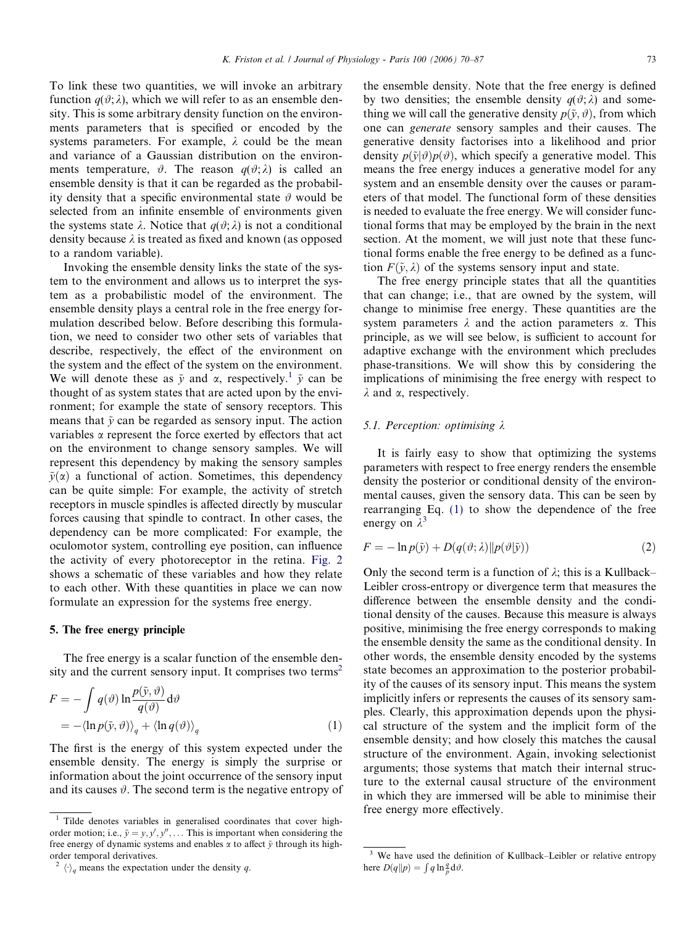To link these two quantities, we will invoke an arbitrary function  $q(\vartheta; \lambda)$ , which we will refer to as an ensemble density. This is some arbitrary density function on the environments parameters that is specified or encoded by the systems parameters. For example,  $\lambda$  could be the mean and variance of a Gaussian distribution on the environments temperature,  $\vartheta$ . The reason  $q(\vartheta; \lambda)$  is called an ensemble density is that it can be regarded as the probability density that a specific environmental state  $\vartheta$  would be selected from an infinite ensemble of environments given the systems state  $\lambda$ . Notice that  $q(\vartheta; \lambda)$  is not a conditional density because  $\lambda$  is treated as fixed and known (as opposed to a random variable).

Invoking the ensemble density links the state of the system to the environment and allows us to interpret the system as a probabilistic model of the environment. The ensemble density plays a central role in the free energy formulation described below. Before describing this formulation, we need to consider two other sets of variables that describe, respectively, the effect of the environment on the system and the effect of the system on the environment. We will denote these as  $\tilde{y}$  and  $\alpha$ , respectively.<sup>1</sup>  $\tilde{y}$  can be thought of as system states that are acted upon by the environment; for example the state of sensory receptors. This means that  $\tilde{y}$  can be regarded as sensory input. The action variables  $\alpha$  represent the force exerted by effectors that act on the environment to change sensory samples. We will represent this dependency by making the sensory samples  $\tilde{y}(\alpha)$  a functional of action. Sometimes, this dependency can be quite simple: For example, the activity of stretch receptors in muscle spindles is affected directly by muscular forces causing that spindle to contract. In other cases, the dependency can be more complicated: For example, the oculomotor system, controlling eye position, can influence the activity of every photoreceptor in the retina. Fig. 2 shows a schematic of these variables and how they relate to each other. With these quantities in place we can now formulate an expression for the systems free energy.

# 5. The free energy principle

The free energy is a scalar function of the ensemble density and the current sensory input. It comprises two terms<sup>2</sup>

$$
F = -\int q(\vartheta) \ln \frac{p(\tilde{y}, \vartheta)}{q(\vartheta)} d\vartheta = -\langle \ln p(\tilde{y}, \vartheta) \rangle_q + \langle \ln q(\vartheta) \rangle_q
$$
(1)

The first is the energy of this system expected under the ensemble density. The energy is simply the surprise or information about the joint occurrence of the sensory input and its causes  $\vartheta$ . The second term is the negative entropy of the ensemble density. Note that the free energy is defined by two densities; the ensemble density  $q(\vartheta; \lambda)$  and something we will call the generative density  $p(\tilde{v}, \vartheta)$ , from which one can *generate* sensory samples and their causes. The generative density factorises into a likelihood and prior density  $p(\tilde{y}|\vartheta)p(\vartheta)$ , which specify a generative model. This means the free energy induces a generative model for any system and an ensemble density over the causes or parameters of that model. The functional form of these densities is needed to evaluate the free energy. We will consider functional forms that may be employed by the brain in the next section. At the moment, we will just note that these functional forms enable the free energy to be defined as a function  $F(\tilde{y}, \lambda)$  of the systems sensory input and state.

The free energy principle states that all the quantities that can change; i.e., that are owned by the system, will change to minimise free energy. These quantities are the system parameters  $\lambda$  and the action parameters  $\alpha$ . This principle, as we will see below, is sufficient to account for adaptive exchange with the environment which precludes phase-transitions. We will show this by considering the implications of minimising the free energy with respect to  $\lambda$  and  $\alpha$ , respectively.

# *5.1. Perception: optimising* k

It is fairly easy to show that optimizing the systems parameters with respect to free energy renders the ensemble density the posterior or conditional density of the environmental causes, given the sensory data. This can be seen by rearranging Eq. (1) to show the dependence of the free energy on  $\lambda^3$ 

$$
F = -\ln p(\tilde{y}) + D(q(\vartheta; \lambda) \| p(\vartheta | \tilde{y}))
$$
\n(2)

Only the second term is a function of  $\lambda$ ; this is a Kullback– Leibler cross-entropy or divergence term that measures the difference between the ensemble density and the conditional density of the causes. Because this measure is always positive, minimising the free energy corresponds to making the ensemble density the same as the conditional density. In other words, the ensemble density encoded by the systems state becomes an approximation to the posterior probability of the causes of its sensory input. This means the system implicitly infers or represents the causes of its sensory samples. Clearly, this approximation depends upon the physical structure of the system and the implicit form of the ensemble density; and how closely this matches the causal structure of the environment. Again, invoking selectionist arguments; those systems that match their internal structure to the external causal structure of the environment in which they are immersed will be able to minimise their free energy more effectively.

<sup>&</sup>lt;sup>1</sup> Tilde denotes variables in generalised coordinates that cover highorder motion; i.e.,  $\tilde{y} = y, y', y'', \dots$  This is important when considering the free energy of dynamic systems and enables  $\alpha$  to affect  $\tilde{y}$  through its highorder temporal derivatives.

 $\langle \cdot \rangle_q$  means the expectation under the density q.

<sup>&</sup>lt;sup>3</sup> We have used the definition of Kullback–Leibler or relative entropy here  $D(q||p) = \int q \ln \frac{q}{p} d\vartheta$ .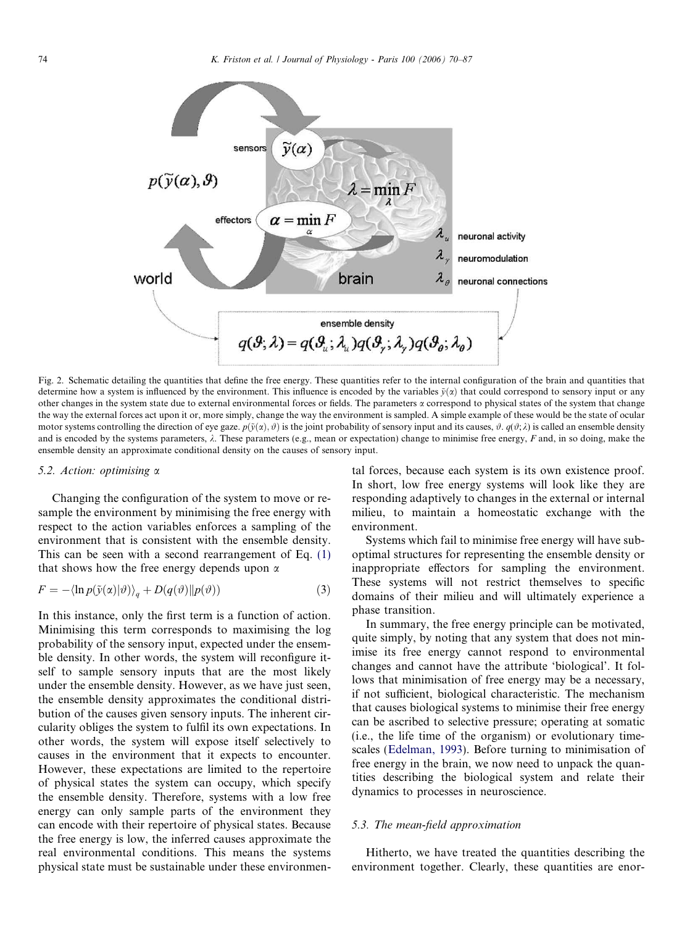

Fig. 2. Schematic detailing the quantities that define the free energy. These quantities refer to the internal configuration of the brain and quantities that determine how a system is influenced by the environment. This influence is encoded by the variables  $\tilde{v}(\alpha)$  that could correspond to sensory input or any other changes in the system state due to external environmental forces or fields. The parameters  $\alpha$  correspond to physical states of the system that change the way the external forces act upon it or, more simply, change the way the environment is sampled. A simple example of these would be the state of ocular motor systems controlling the direction of eye gaze.  $p(\tilde{y}(a), \theta)$  is the joint probability of sensory input and its causes,  $\theta$ .  $q(\theta; \lambda)$  is called an ensemble density and is encoded by the systems parameters,  $\lambda$ . These parameters (e.g., mean or expectation) change to minimise free energy,  $F$  and, in so doing, make the ensemble density an approximate conditional density on the causes of sensory input.

#### *5.2. Action: optimising* a

Changing the configuration of the system to move or resample the environment by minimising the free energy with respect to the action variables enforces a sampling of the environment that is consistent with the ensemble density. This can be seen with a second rearrangement of Eq. (1) that shows how the free energy depends upon  $\alpha$ 

$$
F = -\langle \ln p(\tilde{y}(\alpha)|\vartheta) \rangle_q + D(q(\vartheta)||p(\vartheta)) \tag{3}
$$

In this instance, only the first term is a function of action. Minimising this term corresponds to maximising the log probability of the sensory input, expected under the ensemble density. In other words, the system will reconfigure itself to sample sensory inputs that are the most likely under the ensemble density. However, as we have just seen, the ensemble density approximates the conditional distribution of the causes given sensory inputs. The inherent circularity obliges the system to fulfil its own expectations. In other words, the system will expose itself selectively to causes in the environment that it expects to encounter. However, these expectations are limited to the repertoire of physical states the system can occupy, which specify the ensemble density. Therefore, systems with a low free energy can only sample parts of the environment they can encode with their repertoire of physical states. Because the free energy is low, the inferred causes approximate the real environmental conditions. This means the systems physical state must be sustainable under these environmental forces, because each system is its own existence proof. In short, low free energy systems will look like they are responding adaptively to changes in the external or internal milieu, to maintain a homeostatic exchange with the environment.

Systems which fail to minimise free energy will have suboptimal structures for representing the ensemble density or inappropriate effectors for sampling the environment. These systems will not restrict themselves to specific domains of their milieu and will ultimately experience a phase transition.

In summary, the free energy principle can be motivated, quite simply, by noting that any system that does not minimise its free energy cannot respond to environmental changes and cannot have the attribute 'biological'. It follows that minimisation of free energy may be a necessary, if not sufficient, biological characteristic. The mechanism that causes biological systems to minimise their free energy can be ascribed to selective pressure; operating at somatic (i.e., the life time of the organism) or evolutionary timescales (Edelman, 1993). Before turning to minimisation of free energy in the brain, we now need to unpack the quantities describing the biological system and relate their dynamics to processes in neuroscience.

## *5.3. The mean-field approximation*

Hitherto, we have treated the quantities describing the environment together. Clearly, these quantities are enor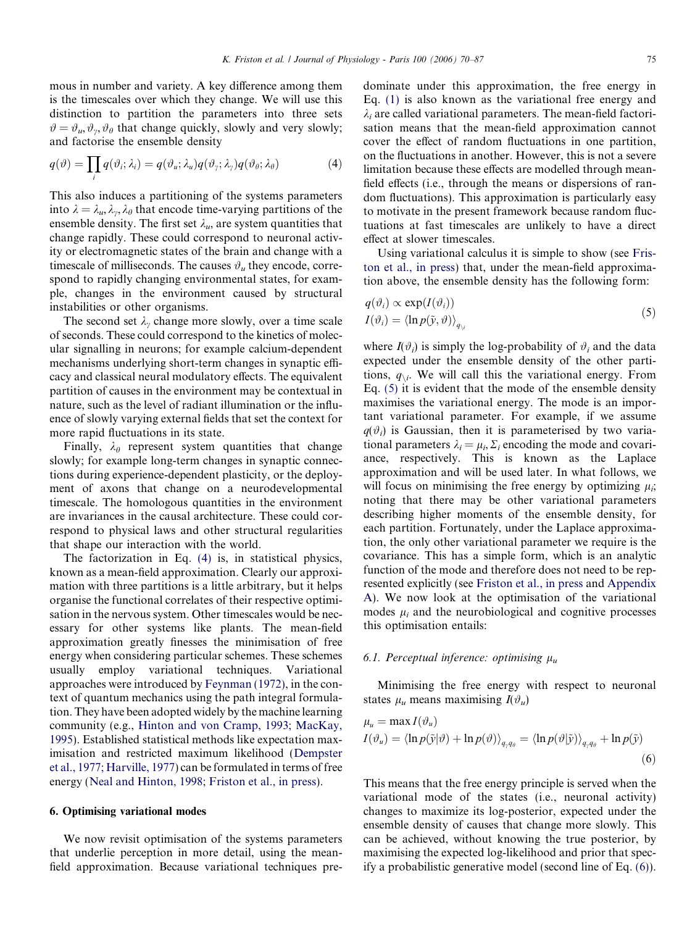mous in number and variety. A key difference among them is the timescales over which they change. We will use this distinction to partition the parameters into three sets  $\vartheta = \vartheta_u, \vartheta_{\gamma}, \vartheta_{\theta}$  that change quickly, slowly and very slowly; and factorise the ensemble density

$$
q(\vartheta) = \prod_i q(\vartheta_i; \lambda_i) = q(\vartheta_u; \lambda_u) q(\vartheta_\gamma; \lambda_\gamma) q(\vartheta_\theta; \lambda_\theta)
$$
\n(4)

This also induces a partitioning of the systems parameters into  $\lambda = \lambda_u, \lambda_v, \lambda_\theta$  that encode time-varying partitions of the ensemble density. The first set  $\lambda_u$ , are system quantities that change rapidly. These could correspond to neuronal activity or electromagnetic states of the brain and change with a timescale of milliseconds. The causes  $\vartheta_u$  they encode, correspond to rapidly changing environmental states, for example, changes in the environment caused by structural instabilities or other organisms.

The second set  $\lambda$ <sub>y</sub> change more slowly, over a time scale of seconds. These could correspond to the kinetics of molecular signalling in neurons; for example calcium-dependent mechanisms underlying short-term changes in synaptic efficacy and classical neural modulatory effects. The equivalent partition of causes in the environment may be contextual in nature, such as the level of radiant illumination or the influence of slowly varying external fields that set the context for more rapid fluctuations in its state.

Finally,  $\lambda_{\theta}$  represent system quantities that change slowly; for example long-term changes in synaptic connections during experience-dependent plasticity, or the deployment of axons that change on a neurodevelopmental timescale. The homologous quantities in the environment are invariances in the causal architecture. These could correspond to physical laws and other structural regularities that shape our interaction with the world.

The factorization in Eq. (4) is, in statistical physics, known as a mean-field approximation. Clearly our approximation with three partitions is a little arbitrary, but it helps organise the functional correlates of their respective optimisation in the nervous system. Other timescales would be necessary for other systems like plants. The mean-field approximation greatly finesses the minimisation of free energy when considering particular schemes. These schemes usually employ variational techniques. Variational approaches were introduced by Feynman (1972), in the context of quantum mechanics using the path integral formulation. They have been adopted widely by the machine learning community (e.g., Hinton and von Cramp, 1993; MacKay, 1995). Established statistical methods like expectation maximisation and restricted maximum likelihood (Dempster et al., 1977; Harville, 1977) can be formulated in terms of free energy (Neal and Hinton, 1998; Friston et al., in press).

#### 6. Optimising variational modes

We now revisit optimisation of the systems parameters that underlie perception in more detail, using the meanfield approximation. Because variational techniques predominate under this approximation, the free energy in Eq. (1) is also known as the variational free energy and  $\lambda_i$  are called variational parameters. The mean-field factorisation means that the mean-field approximation cannot cover the effect of random fluctuations in one partition, on the fluctuations in another. However, this is not a severe limitation because these effects are modelled through meanfield effects (i.e., through the means or dispersions of random fluctuations). This approximation is particularly easy to motivate in the present framework because random fluctuations at fast timescales are unlikely to have a direct effect at slower timescales.

Using variational calculus it is simple to show (see Friston et al., in press) that, under the mean-field approximation above, the ensemble density has the following form:

$$
q(\vartheta_i) \propto \exp(I(\vartheta_i))
$$
  
\n
$$
I(\vartheta_i) = \langle \ln p(\tilde{y}, \vartheta) \rangle_{q_{\varphi_i}}
$$
\n(5)

where  $I(\vartheta_i)$  is simply the log-probability of  $\vartheta_i$  and the data expected under the ensemble density of the other partitions,  $q_{\lambda i}$ . We will call this the variational energy. From Eq. (5) it is evident that the mode of the ensemble density maximises the variational energy. The mode is an important variational parameter. For example, if we assume  $q(\vartheta_i)$  is Gaussian, then it is parameterised by two variational parameters  $\lambda_i = \mu_i$ ,  $\Sigma_i$  encoding the mode and covariance, respectively. This is known as the Laplace approximation and will be used later. In what follows, we will focus on minimising the free energy by optimizing  $\mu_i$ ; noting that there may be other variational parameters describing higher moments of the ensemble density, for each partition. Fortunately, under the Laplace approximation, the only other variational parameter we require is the covariance. This has a simple form, which is an analytic function of the mode and therefore does not need to be represented explicitly (see Friston et al., in press and Appendix A). We now look at the optimisation of the variational modes  $\mu_i$  and the neurobiological and cognitive processes this optimisation entails:

# 6.1. Perceptual inference: optimising  $\mu_u$

Minimising the free energy with respect to neuronal states  $\mu_u$  means maximising  $I(\vartheta_u)$ 

$$
\mu_u = \max I(\vartheta_u)
$$
  
\n
$$
I(\vartheta_u) = \langle \ln p(\tilde{y}|\vartheta) + \ln p(\vartheta) \rangle_{q_q q_\theta} = \langle \ln p(\vartheta|\tilde{y}) \rangle_{q_q q_\theta} + \ln p(\tilde{y})
$$
\n(6)

This means that the free energy principle is served when the variational mode of the states (i.e., neuronal activity) changes to maximize its log-posterior, expected under the ensemble density of causes that change more slowly. This can be achieved, without knowing the true posterior, by maximising the expected log-likelihood and prior that specify a probabilistic generative model (second line of Eq. (6)).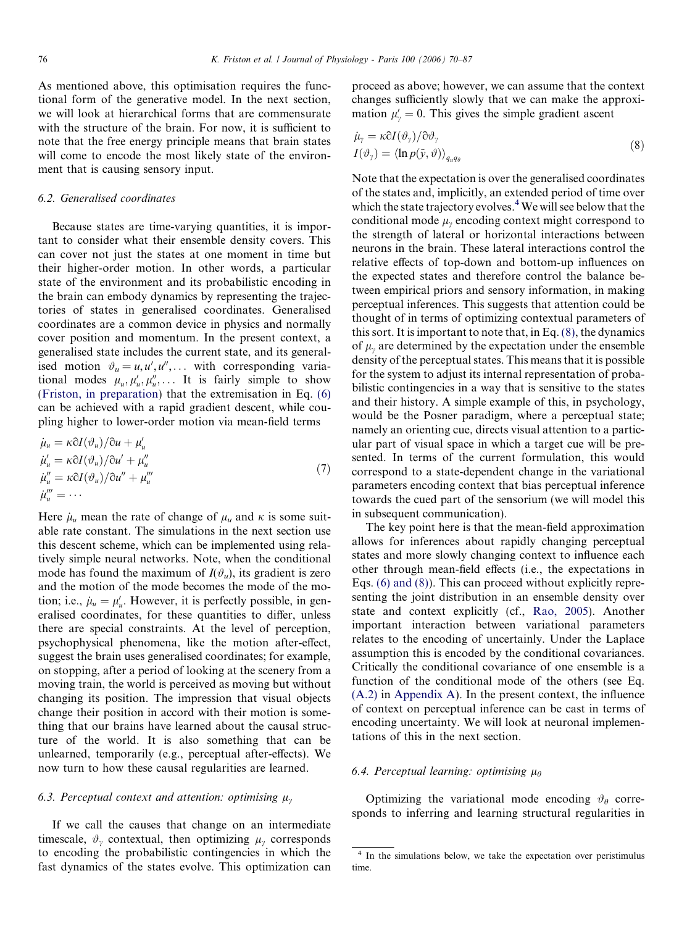As mentioned above, this optimisation requires the functional form of the generative model. In the next section, we will look at hierarchical forms that are commensurate with the structure of the brain. For now, it is sufficient to note that the free energy principle means that brain states will come to encode the most likely state of the environment that is causing sensory input.

#### *6.2. Generalised coordinates*

Because states are time-varying quantities, it is important to consider what their ensemble density covers. This can cover not just the states at one moment in time but their higher-order motion. In other words, a particular state of the environment and its probabilistic encoding in the brain can embody dynamics by representing the trajectories of states in generalised coordinates. Generalised coordinates are a common device in physics and normally cover position and momentum. In the present context, a generalised state includes the current state, and its generalised motion  $\vartheta_u = u, u', u'', \dots$  with corresponding variational modes  $\mu_u, \mu'_u, \mu''_u, \ldots$  It is fairly simple to show (Friston, in preparation) that the extremisation in Eq. (6) can be achieved with a rapid gradient descent, while coupling higher to lower-order motion via mean-field terms

$$
\dot{\mu}_u = \kappa \partial I(\vartheta_u) / \partial u + \mu'_u \n\dot{\mu}'_u = \kappa \partial I(\vartheta_u) / \partial u' + \mu''_u \n\dot{\mu}''_u = \kappa \partial I(\vartheta_u) / \partial u'' + \mu'''_u \n\dot{\mu}'''_u = \cdots
$$
\n(7)

Here  $\mu_u$  mean the rate of change of  $\mu_u$  and  $\kappa$  is some suitable rate constant. The simulations in the next section use this descent scheme, which can be implemented using relatively simple neural networks. Note, when the conditional mode has found the maximum of  $I(\vartheta_u)$ , its gradient is zero and the motion of the mode becomes the mode of the motion; i.e.,  $\mu_u = \mu'_u$ . However, it is perfectly possible, in generalised coordinates, for these quantities to differ, unless there are special constraints. At the level of perception, psychophysical phenomena, like the motion after-effect, suggest the brain uses generalised coordinates; for example, on stopping, after a period of looking at the scenery from a moving train, the world is perceived as moving but without changing its position. The impression that visual objects change their position in accord with their motion is something that our brains have learned about the causal structure of the world. It is also something that can be unlearned, temporarily (e.g., perceptual after-effects). We now turn to how these causal regularities are learned.

# 6.3. Perceptual context and attention: optimising  $\mu$ <sub>v</sub>

If we call the causes that change on an intermediate timescale,  $\vartheta_{\gamma}$  contextual, then optimizing  $\mu_{\gamma}$  corresponds to encoding the probabilistic contingencies in which the fast dynamics of the states evolve. This optimization can

proceed as above; however, we can assume that the context changes sufficiently slowly that we can make the approximation  $\mu'_{\gamma} = 0$ . This gives the simple gradient ascent

$$
\dot{\mu}_{\gamma} = \kappa \partial I(\vartheta_{\gamma}) / \partial \vartheta_{\gamma} \nI(\vartheta_{\gamma}) = \langle \ln p(\tilde{y}, \vartheta) \rangle_{q_u q_{\theta}} \n\tag{8}
$$

Note that the expectation is over the generalised coordinates of the states and, implicitly, an extended period of time over which the state trajectory evolves.<sup>4</sup> We will see below that the conditional mode  $\mu$ , encoding context might correspond to the strength of lateral or horizontal interactions between neurons in the brain. These lateral interactions control the relative effects of top-down and bottom-up influences on the expected states and therefore control the balance between empirical priors and sensory information, in making perceptual inferences. This suggests that attention could be thought of in terms of optimizing contextual parameters of this sort. It is important to note that, in Eq. (8), the dynamics of  $\mu$ , are determined by the expectation under the ensemble density of the perceptual states. This means that it is possible for the system to adjust its internal representation of probabilistic contingencies in a way that is sensitive to the states and their history. A simple example of this, in psychology, would be the Posner paradigm, where a perceptual state; namely an orienting cue, directs visual attention to a particular part of visual space in which a target cue will be presented. In terms of the current formulation, this would correspond to a state-dependent change in the variational parameters encoding context that bias perceptual inference towards the cued part of the sensorium (we will model this in subsequent communication).

The key point here is that the mean-field approximation allows for inferences about rapidly changing perceptual states and more slowly changing context to influence each other through mean-field effects (i.e., the expectations in Eqs. (6) and (8)). This can proceed without explicitly representing the joint distribution in an ensemble density over state and context explicitly (cf., Rao, 2005). Another important interaction between variational parameters relates to the encoding of uncertainly. Under the Laplace assumption this is encoded by the conditional covariances. Critically the conditional covariance of one ensemble is a function of the conditional mode of the others (see Eq. (A.2) in Appendix A). In the present context, the influence of context on perceptual inference can be cast in terms of encoding uncertainty. We will look at neuronal implementations of this in the next section.

# 6.4. Perceptual learning: optimising  $\mu_{\theta}$

Optimizing the variational mode encoding  $\vartheta_{\theta}$  corresponds to inferring and learning structural regularities in

<sup>&</sup>lt;sup>4</sup> In the simulations below, we take the expectation over peristimulus time.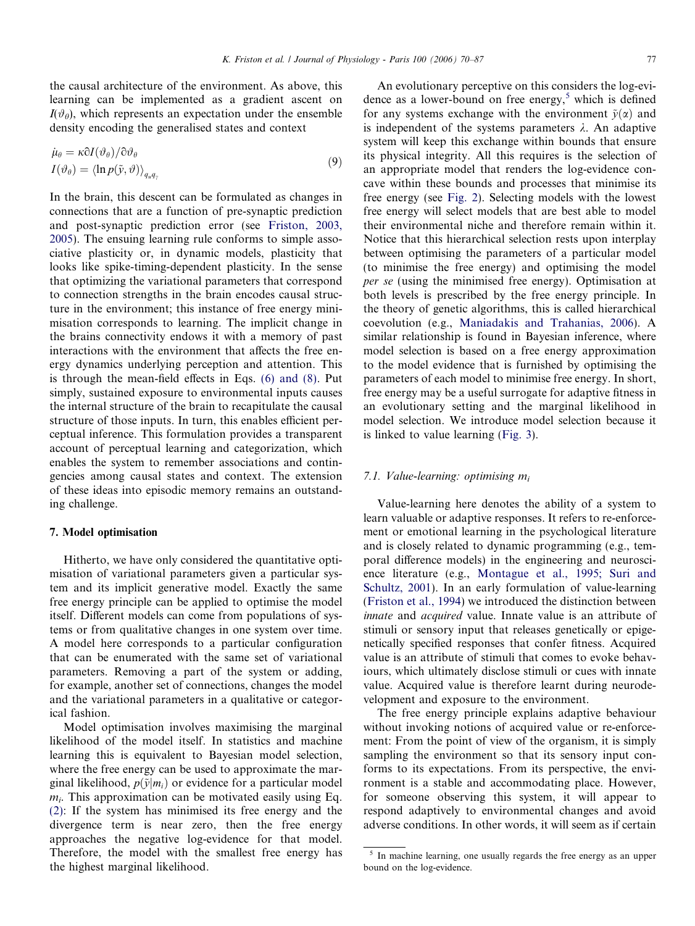$$
\dot{\mu}_{\theta} = \kappa \partial I(\vartheta_{\theta}) / \partial \vartheta_{\theta}
$$
  
\n
$$
I(\vartheta_{\theta}) = \langle \ln p(\tilde{y}, \vartheta) \rangle_{q_u q_y}
$$
\n(9)

In the brain, this descent can be formulated as changes in connections that are a function of pre-synaptic prediction and post-synaptic prediction error (see Friston, 2003, 2005). The ensuing learning rule conforms to simple associative plasticity or, in dynamic models, plasticity that looks like spike-timing-dependent plasticity. In the sense that optimizing the variational parameters that correspond to connection strengths in the brain encodes causal structure in the environment; this instance of free energy minimisation corresponds to learning. The implicit change in the brains connectivity endows it with a memory of past interactions with the environment that affects the free energy dynamics underlying perception and attention. This is through the mean-field effects in Eqs. (6) and (8). Put simply, sustained exposure to environmental inputs causes the internal structure of the brain to recapitulate the causal structure of those inputs. In turn, this enables efficient perceptual inference. This formulation provides a transparent account of perceptual learning and categorization, which enables the system to remember associations and contingencies among causal states and context. The extension of these ideas into episodic memory remains an outstanding challenge.

## 7. Model optimisation

Hitherto, we have only considered the quantitative optimisation of variational parameters given a particular system and its implicit generative model. Exactly the same free energy principle can be applied to optimise the model itself. Different models can come from populations of systems or from qualitative changes in one system over time. A model here corresponds to a particular configuration that can be enumerated with the same set of variational parameters. Removing a part of the system or adding, for example, another set of connections, changes the model and the variational parameters in a qualitative or categorical fashion.

Model optimisation involves maximising the marginal likelihood of the model itself. In statistics and machine learning this is equivalent to Bayesian model selection, where the free energy can be used to approximate the marginal likelihood,  $p(\tilde{v}|m_i)$  or evidence for a particular model *mi* . This approximation can be motivated easily using Eq. (2): If the system has minimised its free energy and the divergence term is near zero, then the free energy approaches the negative log-evidence for that model. Therefore, the model with the smallest free energy has the highest marginal likelihood.

An evolutionary perceptive on this considers the log-evidence as a lower-bound on free energy, $5$  which is defined for any systems exchange with the environment  $\tilde{v}(\alpha)$  and is independent of the systems parameters  $\lambda$ . An adaptive system will keep this exchange within bounds that ensure its physical integrity. All this requires is the selection of an appropriate model that renders the log-evidence concave within these bounds and processes that minimise its free energy (see Fig. 2). Selecting models with the lowest free energy will select models that are best able to model their environmental niche and therefore remain within it. Notice that this hierarchical selection rests upon interplay between optimising the parameters of a particular model (to minimise the free energy) and optimising the model *per se* (using the minimised free energy). Optimisation at both levels is prescribed by the free energy principle. In the theory of genetic algorithms, this is called hierarchical coevolution (e.g., Maniadakis and Trahanias, 2006). A similar relationship is found in Bayesian inference, where model selection is based on a free energy approximation to the model evidence that is furnished by optimising the parameters of each model to minimise free energy. In short, free energy may be a useful surrogate for adaptive fitness in an evolutionary setting and the marginal likelihood in model selection. We introduce model selection because it is linked to value learning (Fig. 3).

## *7.1. Value-learning: optimising m<sup>i</sup>*

Value-learning here denotes the ability of a system to learn valuable or adaptive responses. It refers to re-enforcement or emotional learning in the psychological literature and is closely related to dynamic programming (e.g., temporal difference models) in the engineering and neuroscience literature (e.g., Montague et al., 1995; Suri and Schultz, 2001). In an early formulation of value-learning (Friston et al., 1994) we introduced the distinction between *innate* and *acquired* value. Innate value is an attribute of stimuli or sensory input that releases genetically or epigenetically specified responses that confer fitness. Acquired value is an attribute of stimuli that comes to evoke behaviours, which ultimately disclose stimuli or cues with innate value. Acquired value is therefore learnt during neurodevelopment and exposure to the environment.

The free energy principle explains adaptive behaviour without invoking notions of acquired value or re-enforcement: From the point of view of the organism, it is simply sampling the environment so that its sensory input conforms to its expectations. From its perspective, the environment is a stable and accommodating place. However, for someone observing this system, it will appear to respond adaptively to environmental changes and avoid adverse conditions. In other words, it will seem as if certain

<sup>&</sup>lt;sup>5</sup> In machine learning, one usually regards the free energy as an upper bound on the log-evidence.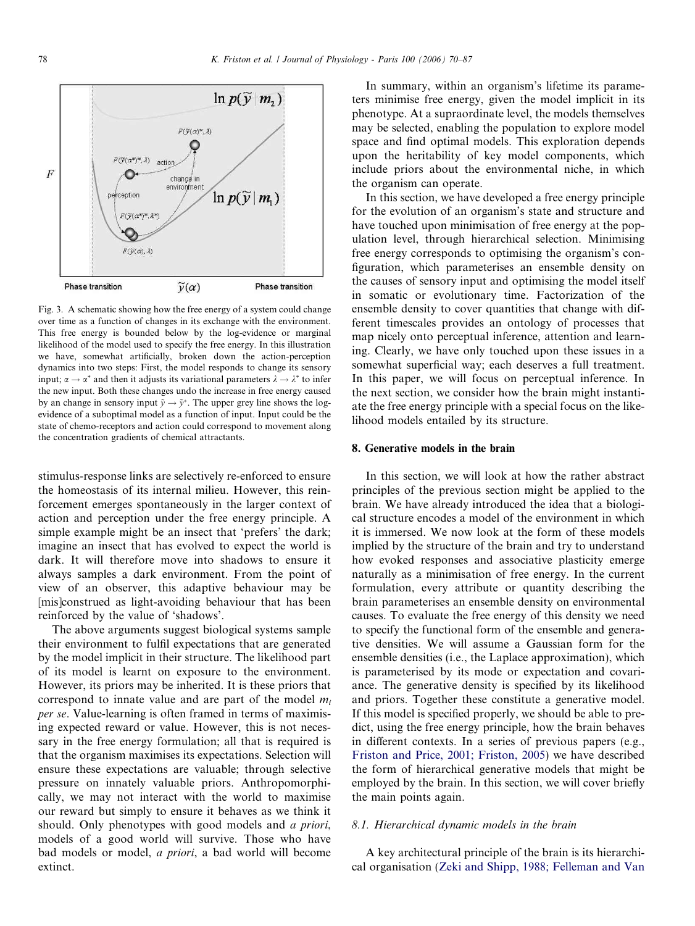

Fig. 3. A schematic showing how the free energy of a system could change over time as a function of changes in its exchange with the environment. This free energy is bounded below by the log-evidence or marginal likelihood of the model used to specify the free energy. In this illustration we have, somewhat artificially, broken down the action-perception dynamics into two steps: First, the model responds to change its sensory input;  $\alpha \rightarrow \alpha^*$  and then it adjusts its variational parameters  $\lambda \rightarrow \lambda^*$  to infer the new input. Both these changes undo the increase in free energy caused by an change in sensory input  $\tilde{y} \rightarrow \tilde{y}^*$ . The upper grey line shows the logevidence of a suboptimal model as a function of input. Input could be the state of chemo-receptors and action could correspond to movement along the concentration gradients of chemical attractants.

stimulus-response links are selectively re-enforced to ensure the homeostasis of its internal milieu. However, this reinforcement emerges spontaneously in the larger context of action and perception under the free energy principle. A simple example might be an insect that 'prefers' the dark; imagine an insect that has evolved to expect the world is dark. It will therefore move into shadows to ensure it always samples a dark environment. From the point of view of an observer, this adaptive behaviour may be [mis]construed as light-avoiding behaviour that has been reinforced by the value of 'shadows'.

The above arguments suggest biological systems sample their environment to fulfil expectations that are generated by the model implicit in their structure. The likelihood part of its model is learnt on exposure to the environment. However, its priors may be inherited. It is these priors that correspond to innate value and are part of the model *m<sup>i</sup> per se*. Value-learning is often framed in terms of maximising expected reward or value. However, this is not necessary in the free energy formulation; all that is required is that the organism maximises its expectations. Selection will ensure these expectations are valuable; through selective pressure on innately valuable priors. Anthropomorphically, we may not interact with the world to maximise our reward but simply to ensure it behaves as we think it should. Only phenotypes with good models and *a priori*, models of a good world will survive. Those who have bad models or model, *a priori*, a bad world will become extinct.

In summary, within an organism's lifetime its parameters minimise free energy, given the model implicit in its phenotype. At a supraordinate level, the models themselves may be selected, enabling the population to explore model space and find optimal models. This exploration depends upon the heritability of key model components, which include priors about the environmental niche, in which the organism can operate.

In this section, we have developed a free energy principle for the evolution of an organism's state and structure and have touched upon minimisation of free energy at the population level, through hierarchical selection. Minimising free energy corresponds to optimising the organism's configuration, which parameterises an ensemble density on the causes of sensory input and optimising the model itself in somatic or evolutionary time. Factorization of the ensemble density to cover quantities that change with different timescales provides an ontology of processes that map nicely onto perceptual inference, attention and learning. Clearly, we have only touched upon these issues in a somewhat superficial way; each deserves a full treatment. In this paper, we will focus on perceptual inference. In the next section, we consider how the brain might instantiate the free energy principle with a special focus on the likelihood models entailed by its structure.

# 8. Generative models in the brain

In this section, we will look at how the rather abstract principles of the previous section might be applied to the brain. We have already introduced the idea that a biological structure encodes a model of the environment in which it is immersed. We now look at the form of these models implied by the structure of the brain and try to understand how evoked responses and associative plasticity emerge naturally as a minimisation of free energy. In the current formulation, every attribute or quantity describing the brain parameterises an ensemble density on environmental causes. To evaluate the free energy of this density we need to specify the functional form of the ensemble and generative densities. We will assume a Gaussian form for the ensemble densities (i.e., the Laplace approximation), which is parameterised by its mode or expectation and covariance. The generative density is specified by its likelihood and priors. Together these constitute a generative model. If this model is specified properly, we should be able to predict, using the free energy principle, how the brain behaves in different contexts. In a series of previous papers (e.g., Friston and Price, 2001; Friston, 2005) we have described the form of hierarchical generative models that might be employed by the brain. In this section, we will cover briefly the main points again.

## *8.1. Hierarchical dynamic models in the brain*

A key architectural principle of the brain is its hierarchical organisation (Zeki and Shipp, 1988; Felleman and Van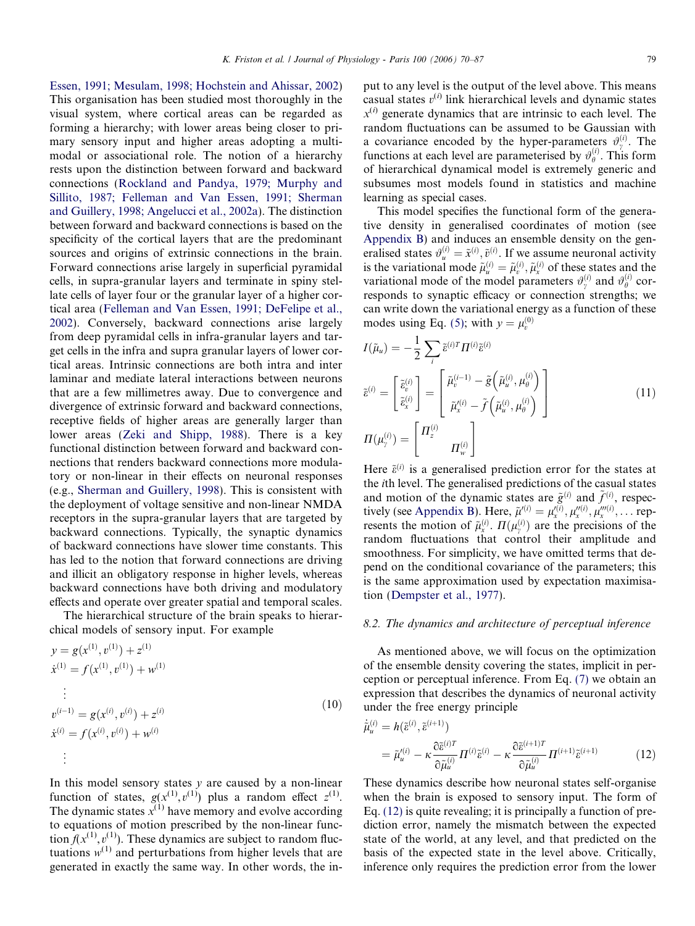Essen, 1991; Mesulam, 1998; Hochstein and Ahissar, 2002) This organisation has been studied most thoroughly in the visual system, where cortical areas can be regarded as forming a hierarchy; with lower areas being closer to primary sensory input and higher areas adopting a multimodal or associational role. The notion of a hierarchy rests upon the distinction between forward and backward connections (Rockland and Pandya, 1979; Murphy and Sillito, 1987; Felleman and Van Essen, 1991; Sherman and Guillery, 1998; Angelucci et al., 2002a). The distinction between forward and backward connections is based on the specificity of the cortical layers that are the predominant sources and origins of extrinsic connections in the brain. Forward connections arise largely in superficial pyramidal cells, in supra-granular layers and terminate in spiny stellate cells of layer four or the granular layer of a higher cortical area (Felleman and Van Essen, 1991; DeFelipe et al., 2002). Conversely, backward connections arise largely from deep pyramidal cells in infra-granular layers and target cells in the infra and supra granular layers of lower cortical areas. Intrinsic connections are both intra and inter laminar and mediate lateral interactions between neurons that are a few millimetres away. Due to convergence and divergence of extrinsic forward and backward connections, receptive fields of higher areas are generally larger than lower areas (Zeki and Shipp, 1988). There is a key functional distinction between forward and backward connections that renders backward connections more modulatory or non-linear in their effects on neuronal responses (e.g., Sherman and Guillery, 1998). This is consistent with the deployment of voltage sensitive and non-linear NMDA receptors in the supra-granular layers that are targeted by backward connections. Typically, the synaptic dynamics of backward connections have slower time constants. This has led to the notion that forward connections are driving and illicit an obligatory response in higher levels, whereas backward connections have both driving and modulatory effects and operate over greater spatial and temporal scales.

The hierarchical structure of the brain speaks to hierarchical models of sensory input. For example

 $\sqrt{1}$ 

$$
y = g(x^{(1)}, v^{(1)}) + z^{(1)}
$$
  
\n
$$
\dot{x}^{(1)} = f(x^{(1)}, v^{(1)}) + w^{(1)}
$$
  
\n
$$
\vdots
$$
  
\n
$$
v^{(i-1)} = g(x^{(i)}, v^{(i)}) + z^{(i)}
$$
  
\n
$$
\dot{x}^{(i)} = f(x^{(i)}, v^{(i)}) + w^{(i)}
$$
  
\n
$$
\vdots
$$
\n(10)

In this model sensory states *y* are caused by a non-linear function of states,  $g(x^{(1)}, v^{(1)})$  plus a random effect  $z^{(1)}$ . The dynamic states  $x^{(1)}$  have memory and evolve according to equations of motion prescribed by the non-linear function  $f(x^{(1)}, v^{(1)})$ . These dynamics are subject to random fluctuations  $w^{(1)}$  and perturbations from higher levels that are generated in exactly the same way. In other words, the input to any level is the output of the level above. This means casual states *v* (*i*) link hierarchical levels and dynamic states  $x^{(i)}$  generate dynamics that are intrinsic to each level. The random fluctuations can be assumed to be Gaussian with a covariance encoded by the hyper-parameters  $\vartheta_{\gamma}^{(i)}$ . The functions at each level are parameterised by  $\vartheta_{\theta}^{(i)}$ . This form of hierarchical dynamical model is extremely generic and subsumes most models found in statistics and machine learning as special cases.

This model specifies the functional form of the generative density in generalised coordinates of motion (see Appendix B) and induces an ensemble density on the generalised states  $\vartheta_u^{(i)} = \tilde{x}^{(i)}, \tilde{v}^{(i)}$ . If we assume neuronal activity is the variational mode  $\tilde{\mu}_u^{(i)} = \tilde{\mu}_v^{(i)}$ ,  $\tilde{\mu}_x^{(i)}$  of these states and the variational mode of the model parameters  $\vartheta_{\gamma}^{(i)}$  and  $\vartheta_{\theta}^{(i)}$  corresponds to synaptic efficacy or connection strengths; we can write down the variational energy as a function of these modes using Eq. (5); with  $y = \mu_v^{(0)}$ 

$$
I(\tilde{\mu}_u) = -\frac{1}{2} \sum_i \tilde{\epsilon}^{(i)T} \Pi^{(i)} \tilde{\epsilon}^{(i)}
$$
  

$$
\tilde{\epsilon}^{(i)} = \begin{bmatrix} \tilde{\epsilon}^{(i)}_v \\ \tilde{\epsilon}^{(i)}_x \end{bmatrix} = \begin{bmatrix} \tilde{\mu}_v^{(i-1)} - \tilde{\epsilon} \left( \tilde{\mu}_u^{(i)}, \mu_\theta^{(i)} \right) \\ \tilde{\mu}_x^{(i)} - \tilde{f} \left( \tilde{\mu}_u^{(i)}, \mu_\theta^{(i)} \right) \end{bmatrix}
$$
  

$$
\Pi(\mu_v^{(i)}) = \begin{bmatrix} \Pi_z^{(i)} & \\ & \Pi_w^{(i)} \end{bmatrix}
$$
 (11)

Here  $\tilde{\varepsilon}^{(i)}$  is a generalised prediction error for the states at the *i*th level. The generalised predictions of the casual states and motion of the dynamic states are  $\tilde{g}^{(i)}$  and  $\tilde{f}^{(i)}$ , respectively (see Appendix B). Here,  $\tilde{\mu}^{(i)} = \mu_x^{(i)}, \mu_x^{(i)}, \mu_x^{(ii)}, \ldots$  represents the motion of  $\tilde{\mu}_x^{(i)}$ .  $\Pi(\mu_\gamma^{(i)})$  are the precisions of the random fluctuations that control their amplitude and smoothness. For simplicity, we have omitted terms that depend on the conditional covariance of the parameters; this is the same approximation used by expectation maximisation (Dempster et al., 1977).

## *8.2. The dynamics and architecture of perceptual inference*

As mentioned above, we will focus on the optimization of the ensemble density covering the states, implicit in perception or perceptual inference. From Eq. (7) we obtain an expression that describes the dynamics of neuronal activity under the free energy principle

$$
\tilde{\mu}_{u}^{(i)} = h(\tilde{\varepsilon}^{(i)}, \tilde{\varepsilon}^{(i+1)})
$$
\n
$$
= \tilde{\mu}_{u}^{\prime(i)} - \kappa \frac{\partial \tilde{\varepsilon}^{(i)T}}{\partial \tilde{\mu}_{u}^{(i)}} \Pi^{(i)} \tilde{\varepsilon}^{(i)} - \kappa \frac{\partial \tilde{\varepsilon}^{(i+1)T}}{\partial \tilde{\mu}_{u}^{(i)}} \Pi^{(i+1)} \tilde{\varepsilon}^{(i+1)} \tag{12}
$$

These dynamics describe how neuronal states self-organise when the brain is exposed to sensory input. The form of Eq. (12) is quite revealing; it is principally a function of prediction error, namely the mismatch between the expected state of the world, at any level, and that predicted on the basis of the expected state in the level above. Critically, inference only requires the prediction error from the lower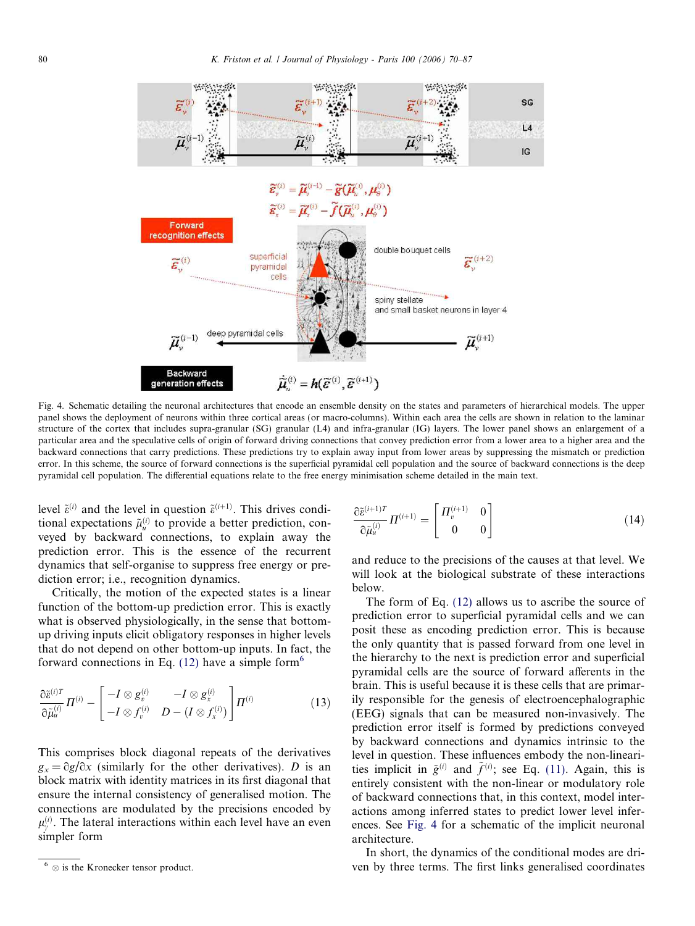

Fig. 4. Schematic detailing the neuronal architectures that encode an ensemble density on the states and parameters of hierarchical models. The upper panel shows the deployment of neurons within three cortical areas (or macro-columns). Within each area the cells are shown in relation to the laminar structure of the cortex that includes supra-granular (SG) granular (L4) and infra-granular (IG) layers. The lower panel shows an enlargement of a particular area and the speculative cells of origin of forward driving connections that convey prediction error from a lower area to a higher area and the backward connections that carry predictions. These predictions try to explain away input from lower areas by suppressing the mismatch or prediction error. In this scheme, the source of forward connections is the superficial pyramidal cell population and the source of backward connections is the deep pyramidal cell population. The differential equations relate to the free energy minimisation scheme detailed in the main text.

level  $\tilde{\varepsilon}^{(i)}$  and the level in question  $\tilde{\varepsilon}^{(i+1)}$ . This drives conditional expectations  $\tilde{\mu}_{u}^{(i)}$  to provide a better prediction, conveyed by backward connections, to explain away the prediction error. This is the essence of the recurrent dynamics that self-organise to suppress free energy or prediction error; i.e., recognition dynamics.

Critically, the motion of the expected states is a linear function of the bottom-up prediction error. This is exactly what is observed physiologically, in the sense that bottomup driving inputs elicit obligatory responses in higher levels that do not depend on other bottom-up inputs. In fact, the forward connections in Eq.  $(12)$  have a simple form<sup>6</sup>

$$
\frac{\partial \tilde{\mathbf{g}}^{(i)T}}{\partial \tilde{\mu}_{u}^{(i)}} \Pi^{(i)} - \begin{bmatrix} -I \otimes \mathbf{g}_{v}^{(i)} & -I \otimes \mathbf{g}_{x}^{(i)} \\ -I \otimes f_{v}^{(i)} & D - (I \otimes f_{x}^{(i)}) \end{bmatrix} \Pi^{(i)} \tag{13}
$$

This comprises block diagonal repeats of the derivatives  $g_x = \partial g / \partial x$  (similarly for the other derivatives). *D* is an block matrix with identity matrices in its first diagonal that ensure the internal consistency of generalised motion. The connections are modulated by the precisions encoded by  $\mu_{\gamma}^{(i)}$ . The lateral interactions within each level have an even simpler form

$$
\frac{\partial \tilde{\varepsilon}^{(i+1)T}}{\partial \tilde{\mu}_u^{(i)}} \Pi^{(i+1)} = \begin{bmatrix} \Pi_v^{(i+1)} & 0\\ 0 & 0 \end{bmatrix}
$$
(14)

and reduce to the precisions of the causes at that level. We will look at the biological substrate of these interactions below.

The form of Eq. (12) allows us to ascribe the source of prediction error to superficial pyramidal cells and we can posit these as encoding prediction error. This is because the only quantity that is passed forward from one level in the hierarchy to the next is prediction error and superficial pyramidal cells are the source of forward afferents in the brain. This is useful because it is these cells that are primarily responsible for the genesis of electroencephalographic (EEG) signals that can be measured non-invasively. The prediction error itself is formed by predictions conveyed by backward connections and dynamics intrinsic to the level in question. These influences embody the non-linearities implicit in  $\tilde{g}^{(i)}$  and  $\tilde{f}^{(i)}$ ; see Eq. (11). Again, this is entirely consistent with the non-linear or modulatory role of backward connections that, in this context, model interactions among inferred states to predict lower level inferences. See Fig. 4 for a schematic of the implicit neuronal architecture.

In short, the dynamics of the conditional modes are driven by three terms. The first links generalised coordinates

 $6 \otimes$  is the Kronecker tensor product.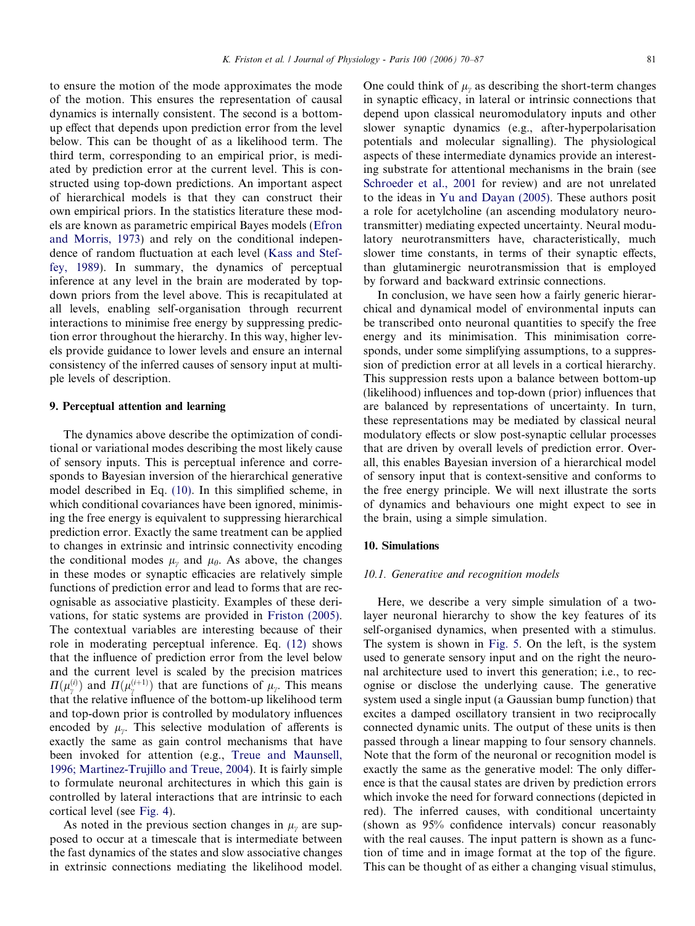to ensure the motion of the mode approximates the mode of the motion. This ensures the representation of causal dynamics is internally consistent. The second is a bottomup effect that depends upon prediction error from the level below. This can be thought of as a likelihood term. The third term, corresponding to an empirical prior, is mediated by prediction error at the current level. This is constructed using top-down predictions. An important aspect of hierarchical models is that they can construct their own empirical priors. In the statistics literature these models are known as parametric empirical Bayes models (Efron and Morris, 1973) and rely on the conditional independence of random fluctuation at each level (Kass and Steffey, 1989). In summary, the dynamics of perceptual inference at any level in the brain are moderated by topdown priors from the level above. This is recapitulated at all levels, enabling self-organisation through recurrent interactions to minimise free energy by suppressing prediction error throughout the hierarchy. In this way, higher levels provide guidance to lower levels and ensure an internal consistency of the inferred causes of sensory input at multiple levels of description.

#### 9. Perceptual attention and learning

The dynamics above describe the optimization of conditional or variational modes describing the most likely cause of sensory inputs. This is perceptual inference and corresponds to Bayesian inversion of the hierarchical generative model described in Eq. (10). In this simplified scheme, in which conditional covariances have been ignored, minimising the free energy is equivalent to suppressing hierarchical prediction error. Exactly the same treatment can be applied to changes in extrinsic and intrinsic connectivity encoding the conditional modes  $\mu$ , and  $\mu$ . As above, the changes in these modes or synaptic efficacies are relatively simple functions of prediction error and lead to forms that are recognisable as associative plasticity. Examples of these derivations, for static systems are provided in Friston (2005). The contextual variables are interesting because of their role in moderating perceptual inference. Eq. (12) shows that the influence of prediction error from the level below and the current level is scaled by the precision matrices  $\Pi(\mu_\gamma^{(i)})$  and  $\Pi(\mu_\gamma^{(i+1)})$  that are functions of  $\mu_\gamma$ . This means that the relative influence of the bottom-up likelihood term and top-down prior is controlled by modulatory influences encoded by  $\mu_{\gamma}$ . This selective modulation of afferents is exactly the same as gain control mechanisms that have been invoked for attention (e.g., Treue and Maunsell, 1996; Martinez-Trujillo and Treue, 2004). It is fairly simple to formulate neuronal architectures in which this gain is controlled by lateral interactions that are intrinsic to each cortical level (see Fig. 4).

As noted in the previous section changes in  $\mu$ <sub>v</sub> are supposed to occur at a timescale that is intermediate between the fast dynamics of the states and slow associative changes in extrinsic connections mediating the likelihood model.

One could think of  $\mu$ , as describing the short-term changes in synaptic efficacy, in lateral or intrinsic connections that depend upon classical neuromodulatory inputs and other slower synaptic dynamics (e.g., after-hyperpolarisation potentials and molecular signalling). The physiological aspects of these intermediate dynamics provide an interesting substrate for attentional mechanisms in the brain (see Schroeder et al., 2001 for review) and are not unrelated to the ideas in Yu and Dayan (2005). These authors posit a role for acetylcholine (an ascending modulatory neurotransmitter) mediating expected uncertainty. Neural modulatory neurotransmitters have, characteristically, much slower time constants, in terms of their synaptic effects, than glutaminergic neurotransmission that is employed by forward and backward extrinsic connections.

In conclusion, we have seen how a fairly generic hierarchical and dynamical model of environmental inputs can be transcribed onto neuronal quantities to specify the free energy and its minimisation. This minimisation corresponds, under some simplifying assumptions, to a suppression of prediction error at all levels in a cortical hierarchy. This suppression rests upon a balance between bottom-up (likelihood) influences and top-down (prior) influences that are balanced by representations of uncertainty. In turn, these representations may be mediated by classical neural modulatory effects or slow post-synaptic cellular processes that are driven by overall levels of prediction error. Overall, this enables Bayesian inversion of a hierarchical model of sensory input that is context-sensitive and conforms to the free energy principle. We will next illustrate the sorts of dynamics and behaviours one might expect to see in the brain, using a simple simulation.

## 10. Simulations

#### *10.1. Generative and recognition models*

Here, we describe a very simple simulation of a twolayer neuronal hierarchy to show the key features of its self-organised dynamics, when presented with a stimulus. The system is shown in Fig. 5. On the left, is the system used to generate sensory input and on the right the neuronal architecture used to invert this generation; i.e., to recognise or disclose the underlying cause. The generative system used a single input (a Gaussian bump function) that excites a damped oscillatory transient in two reciprocally connected dynamic units. The output of these units is then passed through a linear mapping to four sensory channels. Note that the form of the neuronal or recognition model is exactly the same as the generative model: The only difference is that the causal states are driven by prediction errors which invoke the need for forward connections (depicted in red). The inferred causes, with conditional uncertainty (shown as 95% confidence intervals) concur reasonably with the real causes. The input pattern is shown as a function of time and in image format at the top of the figure. This can be thought of as either a changing visual stimulus,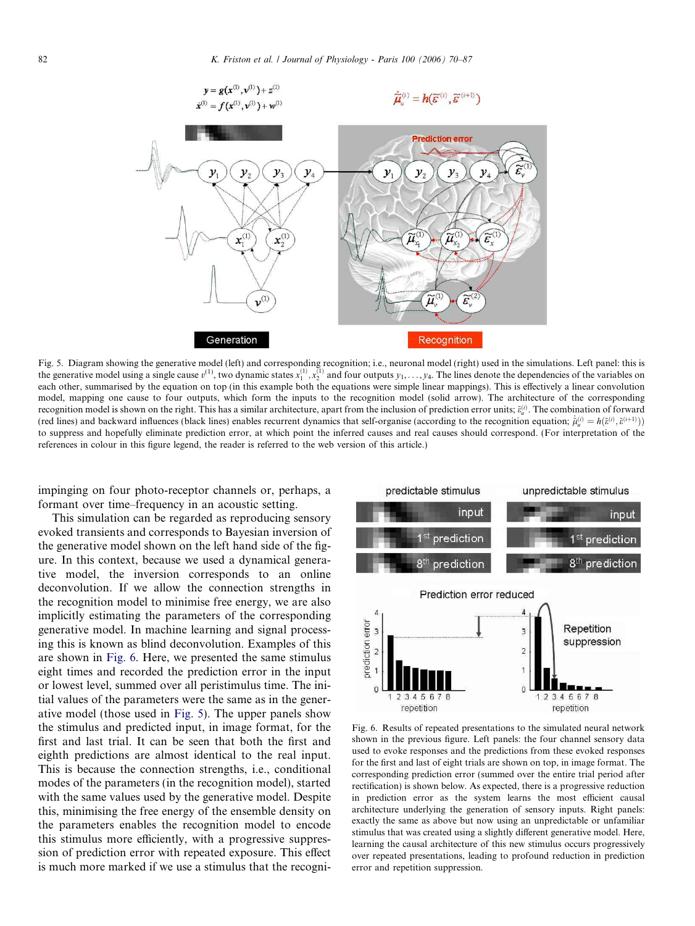

Fig. 5. Diagram showing the generative model (left) and corresponding recognition; i.e., neuronal model (right) used in the simulations. Left panel: this is the generative model using a single cause  $v^{(1)}$ , two dynamic states  $x_1^{(1)}, x_2^{(1)}$  and four outputs  $y_1, \ldots, y_4$ . The lines denote the dependencies of the variables on each other, summarised by the equation on top (in this example both the equations were simple linear mappings). This is effectively a linear convolution model, mapping one cause to four outputs, which form the inputs to the recognition model (solid arrow). The architecture of the corresponding recognition model is shown on the right. This has a similar architecture, apart from the inclusion of prediction error units;  $\tilde{\epsilon}_{u}^{(i)}$ . The combination of forward (red lines) and backward influences (black lines) enables recurrent dynamics that self-organise (according to the recognition equation;  $\dot{\tilde{\mu}}_{u}^{(i)} = h(\tilde{\varepsilon}^{(i)}, \tilde{\varepsilon}^{(i+1)}))$ to suppress and hopefully eliminate prediction error, at which point the inferred causes and real causes should correspond. (For interpretation of the references in colour in this figure legend, the reader is referred to the web version of this article.)

impinging on four photo-receptor channels or, perhaps, a formant over time–frequency in an acoustic setting.

This simulation can be regarded as reproducing sensory evoked transients and corresponds to Bayesian inversion of the generative model shown on the left hand side of the figure. In this context, because we used a dynamical generative model, the inversion corresponds to an online deconvolution. If we allow the connection strengths in the recognition model to minimise free energy, we are also implicitly estimating the parameters of the corresponding generative model. In machine learning and signal processing this is known as blind deconvolution. Examples of this are shown in Fig. 6. Here, we presented the same stimulus eight times and recorded the prediction error in the input or lowest level, summed over all peristimulus time. The initial values of the parameters were the same as in the generative model (those used in Fig. 5). The upper panels show the stimulus and predicted input, in image format, for the first and last trial. It can be seen that both the first and eighth predictions are almost identical to the real input. This is because the connection strengths, i.e., conditional modes of the parameters (in the recognition model), started with the same values used by the generative model. Despite this, minimising the free energy of the ensemble density on the parameters enables the recognition model to encode this stimulus more efficiently, with a progressive suppression of prediction error with repeated exposure. This effect is much more marked if we use a stimulus that the recogni-



Fig. 6. Results of repeated presentations to the simulated neural network shown in the previous figure. Left panels: the four channel sensory data used to evoke responses and the predictions from these evoked responses for the first and last of eight trials are shown on top, in image format. The corresponding prediction error (summed over the entire trial period after rectification) is shown below. As expected, there is a progressive reduction in prediction error as the system learns the most efficient causal architecture underlying the generation of sensory inputs. Right panels: exactly the same as above but now using an unpredictable or unfamiliar stimulus that was created using a slightly different generative model. Here, learning the causal architecture of this new stimulus occurs progressively over repeated presentations, leading to profound reduction in prediction error and repetition suppression.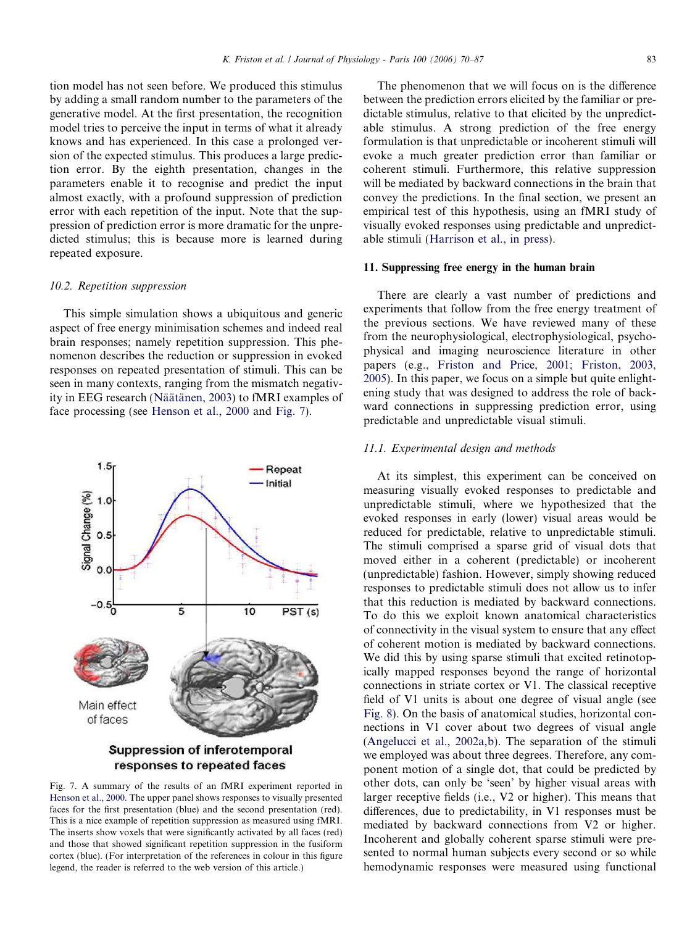tion model has not seen before. We produced this stimulus by adding a small random number to the parameters of the generative model. At the first presentation, the recognition model tries to perceive the input in terms of what it already knows and has experienced. In this case a prolonged version of the expected stimulus. This produces a large prediction error. By the eighth presentation, changes in the parameters enable it to recognise and predict the input almost exactly, with a profound suppression of prediction error with each repetition of the input. Note that the suppression of prediction error is more dramatic for the unpredicted stimulus; this is because more is learned during repeated exposure.

# *10.2. Repetition suppression*

This simple simulation shows a ubiquitous and generic aspect of free energy minimisation schemes and indeed real brain responses; namely repetition suppression. This phenomenon describes the reduction or suppression in evoked responses on repeated presentation of stimuli. This can be seen in many contexts, ranging from the mismatch negativity in EEG research (Näätänen, 2003) to fMRI examples of face processing (see Henson et al., 2000 and Fig. 7).



Fig. 7. A summary of the results of an fMRI experiment reported in Henson et al., 2000. The upper panel shows responses to visually presented faces for the first presentation (blue) and the second presentation (red). This is a nice example of repetition suppression as measured using fMRI. The inserts show voxels that were significantly activated by all faces (red) and those that showed significant repetition suppression in the fusiform cortex (blue). (For interpretation of the references in colour in this figure legend, the reader is referred to the web version of this article.)

The phenomenon that we will focus on is the difference between the prediction errors elicited by the familiar or predictable stimulus, relative to that elicited by the unpredictable stimulus. A strong prediction of the free energy formulation is that unpredictable or incoherent stimuli will evoke a much greater prediction error than familiar or coherent stimuli. Furthermore, this relative suppression will be mediated by backward connections in the brain that convey the predictions. In the final section, we present an empirical test of this hypothesis, using an fMRI study of visually evoked responses using predictable and unpredictable stimuli (Harrison et al., in press).

## 11. Suppressing free energy in the human brain

There are clearly a vast number of predictions and experiments that follow from the free energy treatment of the previous sections. We have reviewed many of these from the neurophysiological, electrophysiological, psychophysical and imaging neuroscience literature in other papers (e.g., Friston and Price, 2001; Friston, 2003, 2005). In this paper, we focus on a simple but quite enlightening study that was designed to address the role of backward connections in suppressing prediction error, using predictable and unpredictable visual stimuli.

## *11.1. Experimental design and methods*

At its simplest, this experiment can be conceived on measuring visually evoked responses to predictable and unpredictable stimuli, where we hypothesized that the evoked responses in early (lower) visual areas would be reduced for predictable, relative to unpredictable stimuli. The stimuli comprised a sparse grid of visual dots that moved either in a coherent (predictable) or incoherent (unpredictable) fashion. However, simply showing reduced responses to predictable stimuli does not allow us to infer that this reduction is mediated by backward connections. To do this we exploit known anatomical characteristics of connectivity in the visual system to ensure that any effect of coherent motion is mediated by backward connections. We did this by using sparse stimuli that excited retinotopically mapped responses beyond the range of horizontal connections in striate cortex or V1. The classical receptive field of V1 units is about one degree of visual angle (see Fig. 8). On the basis of anatomical studies, horizontal connections in V1 cover about two degrees of visual angle (Angelucci et al., 2002a,b). The separation of the stimuli we employed was about three degrees. Therefore, any component motion of a single dot, that could be predicted by other dots, can only be 'seen' by higher visual areas with larger receptive fields (i.e., V2 or higher). This means that differences, due to predictability, in V1 responses must be mediated by backward connections from V2 or higher. Incoherent and globally coherent sparse stimuli were presented to normal human subjects every second or so while hemodynamic responses were measured using functional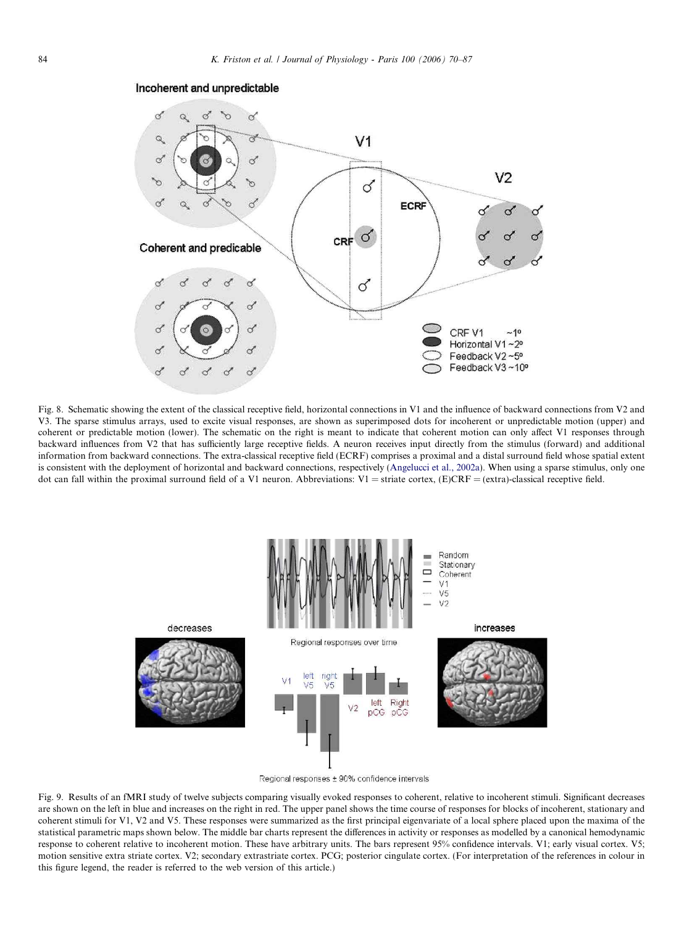

#### Incoherent and unpredictable

Fig. 8. Schematic showing the extent of the classical receptive field, horizontal connections in V1 and the influence of backward connections from V2 and V3. The sparse stimulus arrays, used to excite visual responses, are shown as superimposed dots for incoherent or unpredictable motion (upper) and coherent or predictable motion (lower). The schematic on the right is meant to indicate that coherent motion can only affect V1 responses through backward influences from V2 that has sufficiently large receptive fields. A neuron receives input directly from the stimulus (forward) and additional information from backward connections. The extra-classical receptive field (ECRF) comprises a proximal and a distal surround field whose spatial extent is consistent with the deployment of horizontal and backward connections, respectively (Angelucci et al., 2002a). When using a sparse stimulus, only one dot can fall within the proximal surround field of a V1 neuron. Abbreviations:  $VI = \text{striate cortex}, (E)CRF = (\text{extra})\text{-classical receptive field.}$ 

![](_page_14_Figure_5.jpeg)

![](_page_14_Figure_6.jpeg)

Fig. 9. Results of an fMRI study of twelve subjects comparing visually evoked responses to coherent, relative to incoherent stimuli. Significant decreases are shown on the left in blue and increases on the right in red. The upper panel shows the time course of responses for blocks of incoherent, stationary and coherent stimuli for V1, V2 and V5. These responses were summarized as the first principal eigenvariate of a local sphere placed upon the maxima of the statistical parametric maps shown below. The middle bar charts represent the differences in activity or responses as modelled by a canonical hemodynamic response to coherent relative to incoherent motion. These have arbitrary units. The bars represent 95% confidence intervals. V1; early visual cortex. V5; motion sensitive extra striate cortex. V2; secondary extrastriate cortex. PCG; posterior cingulate cortex. (For interpretation of the references in colour in this figure legend, the reader is referred to the web version of this article.)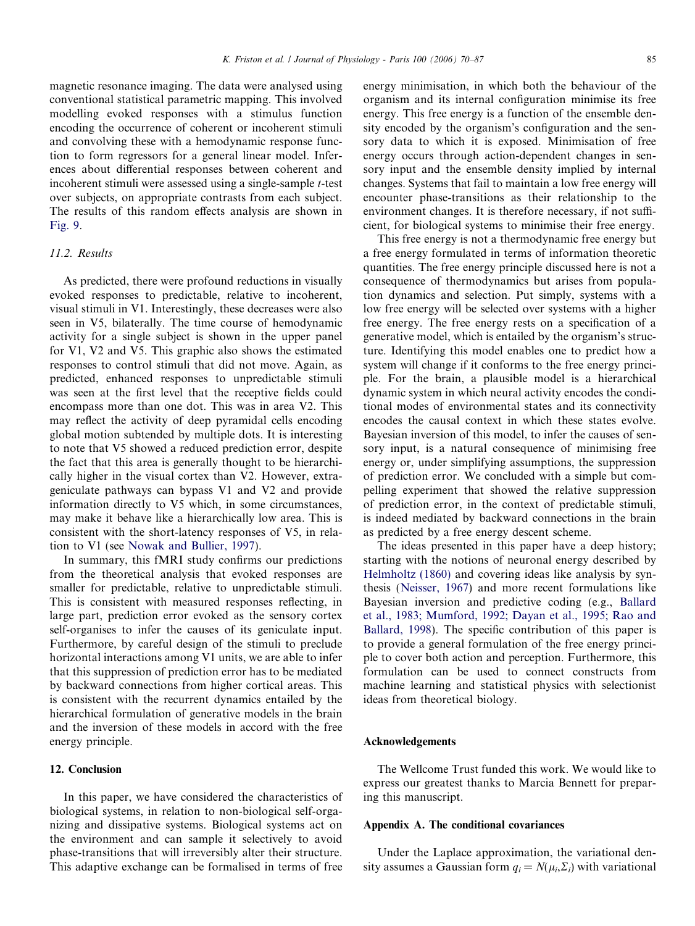magnetic resonance imaging. The data were analysed using conventional statistical parametric mapping. This involved modelling evoked responses with a stimulus function encoding the occurrence of coherent or incoherent stimuli and convolving these with a hemodynamic response function to form regressors for a general linear model. Inferences about differential responses between coherent and incoherent stimuli were assessed using a single-sample *t*-test over subjects, on appropriate contrasts from each subject. The results of this random effects analysis are shown in Fig. 9.

# *11.2. Results*

As predicted, there were profound reductions in visually evoked responses to predictable, relative to incoherent, visual stimuli in V1. Interestingly, these decreases were also seen in V5, bilaterally. The time course of hemodynamic activity for a single subject is shown in the upper panel for V1, V2 and V5. This graphic also shows the estimated responses to control stimuli that did not move. Again, as predicted, enhanced responses to unpredictable stimuli was seen at the first level that the receptive fields could encompass more than one dot. This was in area V2. This may reflect the activity of deep pyramidal cells encoding global motion subtended by multiple dots. It is interesting to note that V5 showed a reduced prediction error, despite the fact that this area is generally thought to be hierarchically higher in the visual cortex than V2. However, extrageniculate pathways can bypass V1 and V2 and provide information directly to V5 which, in some circumstances, may make it behave like a hierarchically low area. This is consistent with the short-latency responses of V5, in relation to V1 (see Nowak and Bullier, 1997).

In summary, this fMRI study confirms our predictions from the theoretical analysis that evoked responses are smaller for predictable, relative to unpredictable stimuli. This is consistent with measured responses reflecting, in large part, prediction error evoked as the sensory cortex self-organises to infer the causes of its geniculate input. Furthermore, by careful design of the stimuli to preclude horizontal interactions among V1 units, we are able to infer that this suppression of prediction error has to be mediated by backward connections from higher cortical areas. This is consistent with the recurrent dynamics entailed by the hierarchical formulation of generative models in the brain and the inversion of these models in accord with the free energy principle.

## 12. Conclusion

In this paper, we have considered the characteristics of biological systems, in relation to non-biological self-organizing and dissipative systems. Biological systems act on the environment and can sample it selectively to avoid phase-transitions that will irreversibly alter their structure. This adaptive exchange can be formalised in terms of free

energy minimisation, in which both the behaviour of the organism and its internal configuration minimise its free energy. This free energy is a function of the ensemble density encoded by the organism's configuration and the sensory data to which it is exposed. Minimisation of free energy occurs through action-dependent changes in sensory input and the ensemble density implied by internal changes. Systems that fail to maintain a low free energy will encounter phase-transitions as their relationship to the environment changes. It is therefore necessary, if not sufficient, for biological systems to minimise their free energy.

This free energy is not a thermodynamic free energy but a free energy formulated in terms of information theoretic quantities. The free energy principle discussed here is not a consequence of thermodynamics but arises from population dynamics and selection. Put simply, systems with a low free energy will be selected over systems with a higher free energy. The free energy rests on a specification of a generative model, which is entailed by the organism's structure. Identifying this model enables one to predict how a system will change if it conforms to the free energy principle. For the brain, a plausible model is a hierarchical dynamic system in which neural activity encodes the conditional modes of environmental states and its connectivity encodes the causal context in which these states evolve. Bayesian inversion of this model, to infer the causes of sensory input, is a natural consequence of minimising free energy or, under simplifying assumptions, the suppression of prediction error. We concluded with a simple but compelling experiment that showed the relative suppression of prediction error, in the context of predictable stimuli, is indeed mediated by backward connections in the brain as predicted by a free energy descent scheme.

The ideas presented in this paper have a deep history; starting with the notions of neuronal energy described by Helmholtz (1860) and covering ideas like analysis by synthesis (Neisser, 1967) and more recent formulations like Bayesian inversion and predictive coding (e.g., Ballard et al., 1983; Mumford, 1992; Dayan et al., 1995; Rao and Ballard, 1998). The specific contribution of this paper is to provide a general formulation of the free energy principle to cover both action and perception. Furthermore, this formulation can be used to connect constructs from machine learning and statistical physics with selectionist ideas from theoretical biology.

#### Acknowledgements

The Wellcome Trust funded this work. We would like to express our greatest thanks to Marcia Bennett for preparing this manuscript.

## Appendix A. The conditional covariances

Under the Laplace approximation, the variational density assumes a Gaussian form  $q_i = N(\mu_i, \Sigma_i)$  with variational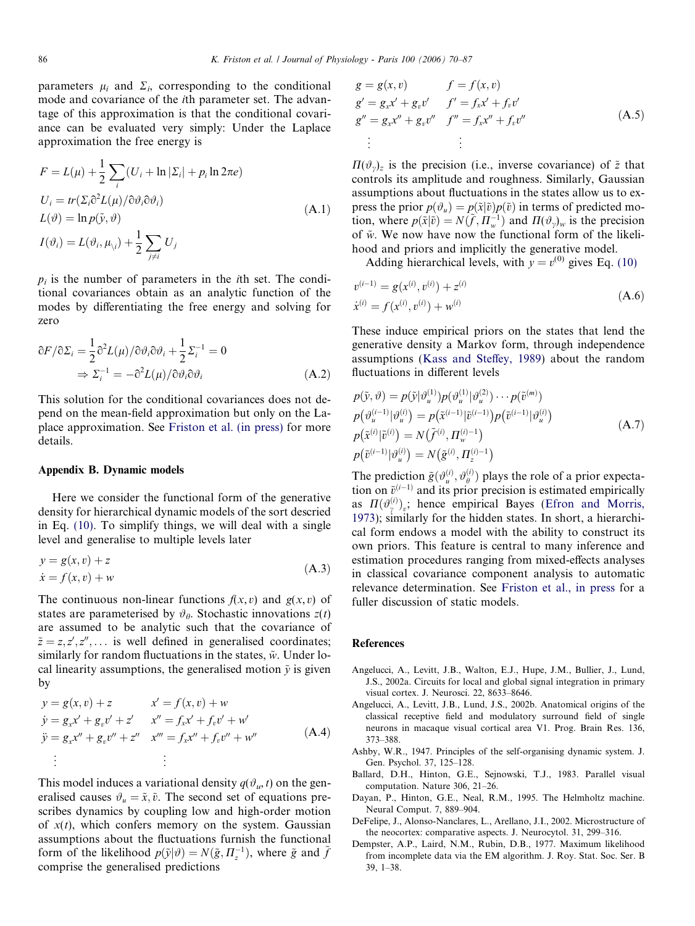$$
F = L(\mu) + \frac{1}{2} \sum_{i} (U_i + \ln |\Sigma_i| + p_i \ln 2\pi e)
$$
  
\n
$$
U_i = tr(\Sigma_i \partial^2 L(\mu) / \partial \vartheta_i \partial \vartheta_i)
$$
  
\n
$$
L(\vartheta) = \ln p(\tilde{y}, \vartheta)
$$
  
\n
$$
I(\vartheta_i) = L(\vartheta_i, \mu_i) + \frac{1}{2} \sum_{j \neq i} U_j
$$
\n(A.1)

 $p_i$  is the number of parameters in the *i*th set. The conditional covariances obtain as an analytic function of the modes by differentiating the free energy and solving for zero

$$
\partial F/\partial \Sigma_i = \frac{1}{2} \partial^2 L(\mu) / \partial \vartheta_i \partial \vartheta_i + \frac{1}{2} \Sigma_i^{-1} = 0
$$
  

$$
\Rightarrow \Sigma_i^{-1} = -\partial^2 L(\mu) / \partial \vartheta_i \partial \vartheta_i
$$
 (A.2)

This solution for the conditional covariances does not depend on the mean-field approximation but only on the Laplace approximation. See Friston et al. (in press) for more details.

#### Appendix B. Dynamic models

Here we consider the functional form of the generative density for hierarchical dynamic models of the sort descried in Eq. (10). To simplify things, we will deal with a single level and generalise to multiple levels later

$$
y = g(x, v) + z
$$
  
\n
$$
\dot{x} = f(x, v) + w
$$
\n(A.3)

The continuous non-linear functions  $f(x, v)$  and  $g(x, v)$  of states are parameterised by  $\vartheta_{\theta}$ . Stochastic innovations  $z(t)$ are assumed to be analytic such that the covariance of  $\tilde{z} = z, z', z'', \dots$  is well defined in generalised coordinates; similarly for random fluctuations in the states,  $\tilde{w}$ . Under local linearity assumptions, the generalised motion  $\tilde{y}$  is given by

$$
y = g(x, v) + z \qquad x' = f(x, v) + w
$$
  
\n
$$
\dot{y} = g_x x' + g_v v' + z' \qquad x'' = f_x x' + f_v v' + w'
$$
  
\n
$$
\ddot{y} = g_x x'' + g_v v'' + z'' \qquad x''' = f_x x'' + f_v v'' + w''
$$
  
\n
$$
\vdots \qquad \qquad \vdots
$$
  
\n(A.4)

This model induces a variational density  $q(\vartheta_u, t)$  on the generalised causes  $\vartheta_u = \tilde{x}, \tilde{v}$ . The second set of equations prescribes dynamics by coupling low and high-order motion of  $x(t)$ , which confers memory on the system. Gaussian assumptions about the fluctuations furnish the functional form of the likelihood  $p(\tilde{y}|\theta) = N(\tilde{g}, \Pi_z^{-1})$ , where  $\tilde{g}$  and  $\tilde{f}$ comprise the generalised predictions

$$
g = g(x, v) \t f = f(x, v)
$$
  
\n
$$
g' = g_x x' + g_v v' \t f' = f_x x' + f_v v'
$$
  
\n
$$
g'' = g_x x'' + g_v v'' \t f'' = f_x x'' + f_v v''
$$
  
\n
$$
\vdots \t \vdots
$$
  
\n(A.5)

 $\Pi(\vartheta_{\gamma})_z$  is the precision (i.e., inverse covariance) of  $\tilde{z}$  that controls its amplitude and roughness. Similarly, Gaussian assumptions about fluctuations in the states allow us to express the prior  $p(\vartheta_u) = p(\tilde{x}|\tilde{v})p(\tilde{v})$  in terms of predicted motion, where  $p(\tilde{x}|\tilde{v}) = N(\tilde{f}, \Pi_w^{-1})$  and  $\Pi(\vartheta_v)_w$  is the precision of  $\tilde{w}$ . We now have now the functional form of the likelihood and priors and implicitly the generative model.

Adding hierarchical levels, with  $y = v^{(0)}$  gives Eq. (10)

$$
v^{(i-1)} = g(x^{(i)}, v^{(i)}) + z^{(i)}
$$
  
\n
$$
\dot{x}^{(i)} = f(x^{(i)}, v^{(i)}) + w^{(i)}
$$
\n(A.6)

These induce empirical priors on the states that lend the generative density a Markov form, through independence assumptions (Kass and Steffey, 1989) about the random fluctuations in different levels

$$
p(\tilde{y}, \vartheta) = p(\tilde{y}|\vartheta_u^{(1)})p(\vartheta_u^{(1)}|\vartheta_u^{(2)}) \cdots p(\tilde{v}^{(m)})
$$
  
\n
$$
p(\vartheta_u^{(i-1)}|\vartheta_u^{(i)}) = p(\tilde{x}^{(i-1)}|\tilde{v}^{(i-1)})p(\tilde{v}^{(i-1)}|\vartheta_u^{(i)})
$$
  
\n
$$
p(\tilde{x}^{(i)}|\tilde{v}^{(i)}) = N(\tilde{f}^{(i)}, \Pi_w^{(i)-1})
$$
  
\n
$$
p(\tilde{v}^{(i-1)}|\vartheta_u^{(i)}) = N(\tilde{g}^{(i)}, \Pi_z^{(i)-1})
$$
\n(A.7)

The prediction  $\tilde{g}(\vartheta_u^{(i)}, \vartheta_\theta^{(i)})$  plays the role of a prior expectation on  $\tilde{v}^{(i-1)}$  and its prior precision is estimated empirically as  $\Pi(\vartheta_{\gamma}^{(i)})_v$ ; hence empirical Bayes (Efron and Morris, 1973); similarly for the hidden states. In short, a hierarchical form endows a model with the ability to construct its own priors. This feature is central to many inference and estimation procedures ranging from mixed-effects analyses in classical covariance component analysis to automatic relevance determination. See Friston et al., in press for a fuller discussion of static models.

#### References

- Angelucci, A., Levitt, J.B., Walton, E.J., Hupe, J.M., Bullier, J., Lund, J.S., 2002a. Circuits for local and global signal integration in primary visual cortex. J. Neurosci. 22, 8633–8646.
- Angelucci, A., Levitt, J.B., Lund, J.S., 2002b. Anatomical origins of the classical receptive field and modulatory surround field of single neurons in macaque visual cortical area V1. Prog. Brain Res. 136, 373–388.
- Ashby, W.R., 1947. Principles of the self-organising dynamic system. J. Gen. Psychol. 37, 125–128.
- Ballard, D.H., Hinton, G.E., Sejnowski, T.J., 1983. Parallel visual computation. Nature 306, 21–26.
- Dayan, P., Hinton, G.E., Neal, R.M., 1995. The Helmholtz machine. Neural Comput. 7, 889–904.
- DeFelipe, J., Alonso-Nanclares, L., Arellano, J.I., 2002. Microstructure of the neocortex: comparative aspects. J. Neurocytol. 31, 299–316.
- Dempster, A.P., Laird, N.M., Rubin, D.B., 1977. Maximum likelihood from incomplete data via the EM algorithm. J. Roy. Stat. Soc. Ser. B 39, 1–38.